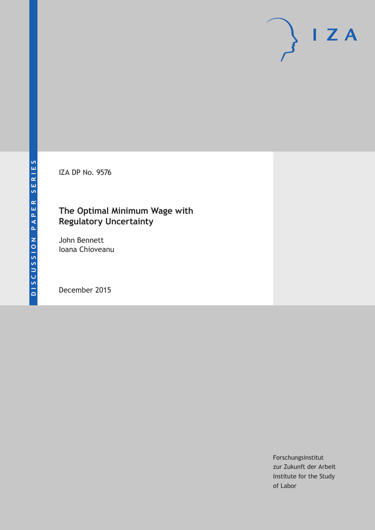IZA DP No. 9576

# **The Optimal Minimum Wage with Regulatory Uncertainty**

John Bennett Ioana Chioveanu

December 2015

Forschungsinstitut zur Zukunft der Arbeit Institute for the Study of Labor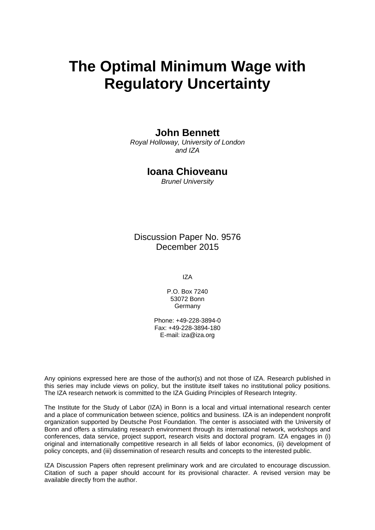# **The Optimal Minimum Wage with Regulatory Uncertainty**

## **John Bennett**

*Royal Holloway, University of London and IZA* 

### **Ioana Chioveanu**

*Brunel University* 

Discussion Paper No. 9576 December 2015

IZA

P.O. Box 7240 53072 Bonn **Germany** 

Phone: +49-228-3894-0 Fax: +49-228-3894-180 E-mail: iza@iza.org

Any opinions expressed here are those of the author(s) and not those of IZA. Research published in this series may include views on policy, but the institute itself takes no institutional policy positions. The IZA research network is committed to the IZA Guiding Principles of Research Integrity.

The Institute for the Study of Labor (IZA) in Bonn is a local and virtual international research center and a place of communication between science, politics and business. IZA is an independent nonprofit organization supported by Deutsche Post Foundation. The center is associated with the University of Bonn and offers a stimulating research environment through its international network, workshops and conferences, data service, project support, research visits and doctoral program. IZA engages in (i) original and internationally competitive research in all fields of labor economics, (ii) development of policy concepts, and (iii) dissemination of research results and concepts to the interested public.

IZA Discussion Papers often represent preliminary work and are circulated to encourage discussion. Citation of such a paper should account for its provisional character. A revised version may be available directly from the author.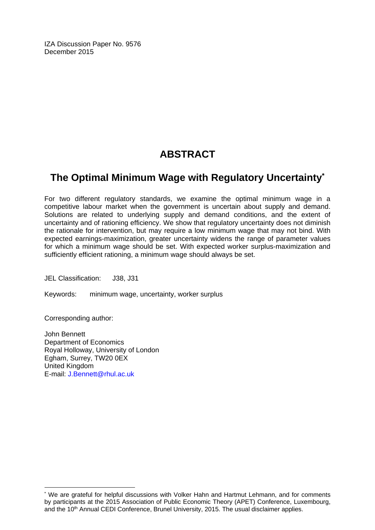IZA Discussion Paper No. 9576 December 2015

# **ABSTRACT**

# **The Optimal Minimum Wage with Regulatory Uncertainty\***

For two different regulatory standards, we examine the optimal minimum wage in a competitive labour market when the government is uncertain about supply and demand. Solutions are related to underlying supply and demand conditions, and the extent of uncertainty and of rationing efficiency. We show that regulatory uncertainty does not diminish the rationale for intervention, but may require a low minimum wage that may not bind. With expected earnings-maximization, greater uncertainty widens the range of parameter values for which a minimum wage should be set. With expected worker surplus-maximization and sufficiently efficient rationing, a minimum wage should always be set.

JEL Classification: J38, J31

Keywords: minimum wage, uncertainty, worker surplus

Corresponding author:

 $\overline{a}$ 

John Bennett Department of Economics Royal Holloway, University of London Egham, Surrey, TW20 0EX United Kingdom E-mail: J.Bennett@rhul.ac.uk

<sup>\*</sup> We are grateful for helpful discussions with Volker Hahn and Hartmut Lehmann, and for comments by participants at the 2015 Association of Public Economic Theory (APET) Conference, Luxembourg, and the 10<sup>th</sup> Annual CEDI Conference, Brunel University, 2015. The usual disclaimer applies.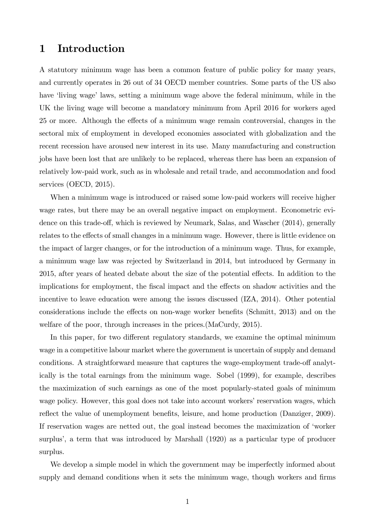# 1 Introduction

A statutory minimum wage has been a common feature of public policy for many years, and currently operates in 26 out of 34 OECD member countries. Some parts of the US also have 'living wage' laws, setting a minimum wage above the federal minimum, while in the UK the living wage will become a mandatory minimum from April 2016 for workers aged 25 or more. Although the effects of a minimum wage remain controversial, changes in the sectoral mix of employment in developed economies associated with globalization and the recent recession have aroused new interest in its use. Many manufacturing and construction jobs have been lost that are unlikely to be replaced, whereas there has been an expansion of relatively low-paid work, such as in wholesale and retail trade, and accommodation and food services (OECD, 2015).

When a minimum wage is introduced or raised some low-paid workers will receive higher wage rates, but there may be an overall negative impact on employment. Econometric evidence on this trade-off, which is reviewed by Neumark, Salas, and Wascher  $(2014)$ , generally relates to the effects of small changes in a minimum wage. However, there is little evidence on the impact of larger changes, or for the introduction of a minimum wage. Thus, for example, a minimum wage law was rejected by Switzerland in 2014, but introduced by Germany in 2015, after years of heated debate about the size of the potential effects. In addition to the implications for employment, the fiscal impact and the effects on shadow activities and the incentive to leave education were among the issues discussed (IZA, 2014). Other potential considerations include the effects on non-wage worker benefits (Schmitt, 2013) and on the welfare of the poor, through increases in the prices.(MaCurdy, 2015).

In this paper, for two different regulatory standards, we examine the optimal minimum wage in a competitive labour market where the government is uncertain of supply and demand conditions. A straightforward measure that captures the wage-employment trade-off analytically is the total earnings from the minimum wage. Sobel (1999), for example, describes the maximization of such earnings as one of the most popularly-stated goals of minimum wage policy. However, this goal does not take into account workers' reservation wages, which reflect the value of unemployment benefits, leisure, and home production (Danziger, 2009). If reservation wages are netted out, the goal instead becomes the maximization of ëworker surplus<sup>7</sup>, a term that was introduced by Marshall (1920) as a particular type of producer surplus.

We develop a simple model in which the government may be imperfectly informed about supply and demand conditions when it sets the minimum wage, though workers and firms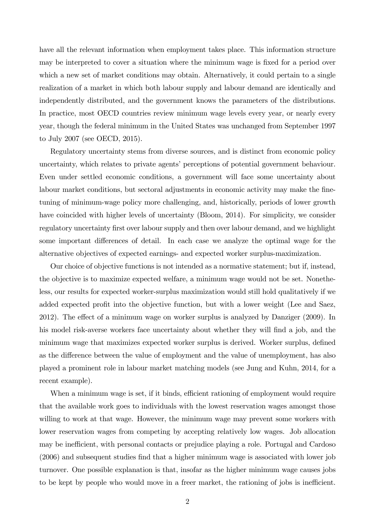have all the relevant information when employment takes place. This information structure may be interpreted to cover a situation where the minimum wage is fixed for a period over which a new set of market conditions may obtain. Alternatively, it could pertain to a single realization of a market in which both labour supply and labour demand are identically and independently distributed, and the government knows the parameters of the distributions. In practice, most OECD countries review minimum wage levels every year, or nearly every year, though the federal minimum in the United States was unchanged from September 1997 to July 2007 (see OECD, 2015).

Regulatory uncertainty stems from diverse sources, and is distinct from economic policy uncertainty, which relates to private agents' perceptions of potential government behaviour. Even under settled economic conditions, a government will face some uncertainty about labour market conditions, but sectoral adjustments in economic activity may make the finetuning of minimum-wage policy more challenging, and, historically, periods of lower growth have coincided with higher levels of uncertainty (Bloom, 2014). For simplicity, we consider regulatory uncertainty first over labour supply and then over labour demand, and we highlight some important differences of detail. In each case we analyze the optimal wage for the alternative objectives of expected earnings- and expected worker surplus-maximization.

Our choice of objective functions is not intended as a normative statement; but if, instead, the objective is to maximize expected welfare, a minimum wage would not be set. Nonetheless, our results for expected worker-surplus maximization would still hold qualitatively if we added expected profit into the objective function, but with a lower weight (Lee and Saez,  $2012$ ). The effect of a minimum wage on worker surplus is analyzed by Danziger  $(2009)$ . In his model risk-averse workers face uncertainty about whether they will find a job, and the minimum wage that maximizes expected worker surplus is derived. Worker surplus, defined as the difference between the value of employment and the value of unemployment, has also played a prominent role in labour market matching models (see Jung and Kuhn, 2014, for a recent example).

When a minimum wage is set, if it binds, efficient rationing of employment would require that the available work goes to individuals with the lowest reservation wages amongst those willing to work at that wage. However, the minimum wage may prevent some workers with lower reservation wages from competing by accepting relatively low wages. Job allocation may be inefficient, with personal contacts or prejudice playing a role. Portugal and Cardoso (2006) and subsequent studies Önd that a higher minimum wage is associated with lower job turnover. One possible explanation is that, insofar as the higher minimum wage causes jobs to be kept by people who would move in a freer market, the rationing of jobs is inefficient.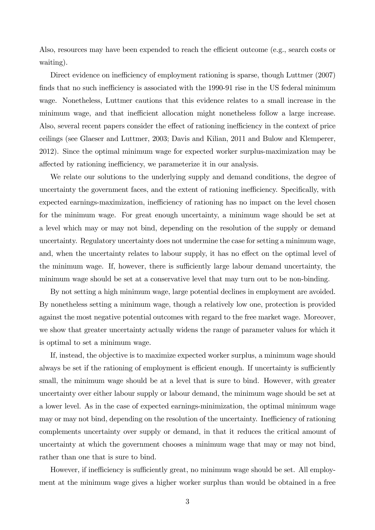Also, resources may have been expended to reach the efficient outcome (e.g., search costs or waiting).

Direct evidence on inefficiency of employment rationing is sparse, though Luttmer (2007) finds that no such inefficiency is associated with the 1990-91 rise in the US federal minimum wage. Nonetheless, Luttmer cautions that this evidence relates to a small increase in the minimum wage, and that inefficient allocation might nonetheless follow a large increase. Also, several recent papers consider the effect of rationing inefficiency in the context of price ceilings (see Glaeser and Luttmer, 2003; Davis and Kilian, 2011 and Bulow and Klemperer, 2012). Since the optimal minimum wage for expected worker surplus-maximization may be affected by rationing inefficiency, we parameterize it in our analysis.

We relate our solutions to the underlying supply and demand conditions, the degree of uncertainty the government faces, and the extent of rationing inefficiency. Specifically, with expected earnings-maximization, inefficiency of rationing has no impact on the level chosen for the minimum wage. For great enough uncertainty, a minimum wage should be set at a level which may or may not bind, depending on the resolution of the supply or demand uncertainty. Regulatory uncertainty does not undermine the case for setting a minimum wage, and, when the uncertainty relates to labour supply, it has no effect on the optimal level of the minimum wage. If, however, there is sufficiently large labour demand uncertainty, the minimum wage should be set at a conservative level that may turn out to be non-binding.

By not setting a high minimum wage, large potential declines in employment are avoided. By nonetheless setting a minimum wage, though a relatively low one, protection is provided against the most negative potential outcomes with regard to the free market wage. Moreover, we show that greater uncertainty actually widens the range of parameter values for which it is optimal to set a minimum wage.

If, instead, the objective is to maximize expected worker surplus, a minimum wage should always be set if the rationing of employment is efficient enough. If uncertainty is sufficiently small, the minimum wage should be at a level that is sure to bind. However, with greater uncertainty over either labour supply or labour demand, the minimum wage should be set at a lower level. As in the case of expected earnings-minimization, the optimal minimum wage may or may not bind, depending on the resolution of the uncertainty. Inefficiency of rationing complements uncertainty over supply or demand, in that it reduces the critical amount of uncertainty at which the government chooses a minimum wage that may or may not bind, rather than one that is sure to bind.

However, if inefficiency is sufficiently great, no minimum wage should be set. All employment at the minimum wage gives a higher worker surplus than would be obtained in a free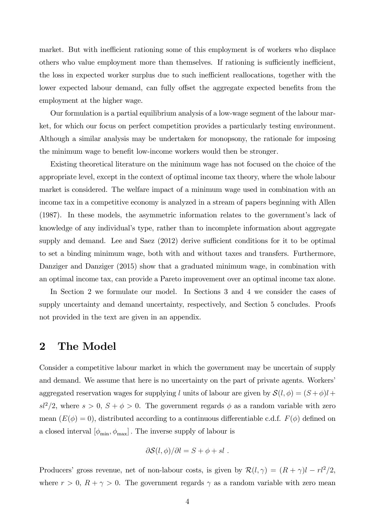market. But with inefficient rationing some of this employment is of workers who displace others who value employment more than themselves. If rationing is sufficiently inefficient, the loss in expected worker surplus due to such inefficient reallocations, together with the lower expected labour demand, can fully offset the aggregate expected benefits from the employment at the higher wage.

Our formulation is a partial equilibrium analysis of a low-wage segment of the labour market, for which our focus on perfect competition provides a particularly testing environment. Although a similar analysis may be undertaken for monopsony, the rationale for imposing the minimum wage to benefit low-income workers would then be stronger.

Existing theoretical literature on the minimum wage has not focused on the choice of the appropriate level, except in the context of optimal income tax theory, where the whole labour market is considered. The welfare impact of a minimum wage used in combination with an income tax in a competitive economy is analyzed in a stream of papers beginning with Allen (1987). In these models, the asymmetric information relates to the government's lack of knowledge of any individualís type, rather than to incomplete information about aggregate supply and demand. Lee and Saez  $(2012)$  derive sufficient conditions for it to be optimal to set a binding minimum wage, both with and without taxes and transfers. Furthermore, Danziger and Danziger (2015) show that a graduated minimum wage, in combination with an optimal income tax, can provide a Pareto improvement over an optimal income tax alone.

In Section 2 we formulate our model. In Sections 3 and 4 we consider the cases of supply uncertainty and demand uncertainty, respectively, and Section 5 concludes. Proofs not provided in the text are given in an appendix.

### 2 The Model

Consider a competitive labour market in which the government may be uncertain of supply and demand. We assume that here is no uncertainty on the part of private agents. Workers aggregated reservation wages for supplying l units of labour are given by  $\mathcal{S}(l, \phi) = (S + \phi)l +$  $s^2/2$ , where  $s > 0$ ,  $S + \phi > 0$ . The government regards  $\phi$  as a random variable with zero mean  $(E(\phi) = 0)$ , distributed according to a continuous differentiable c.d.f.  $F(\phi)$  defined on a closed interval  $[\phi_{\min}, \phi_{\max}]$  . The inverse supply of labour is

$$
\partial S(l,\phi)/\partial l = S + \phi + sl.
$$

Producers' gross revenue, net of non-labour costs, is given by  $\mathcal{R}(l, \gamma) = (R + \gamma)l - rl^2/2$ , where  $r > 0$ ,  $R + \gamma > 0$ . The government regards  $\gamma$  as a random variable with zero mean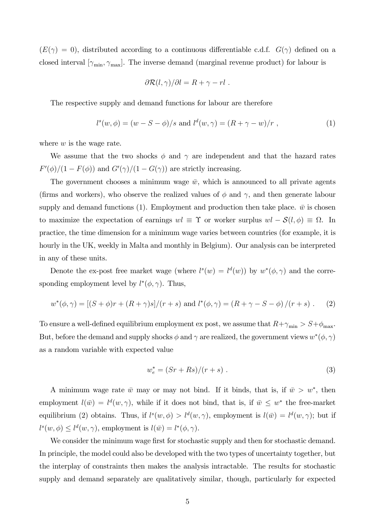$(E(\gamma) = 0)$ , distributed according to a continuous differentiable c.d.f.  $G(\gamma)$  defined on a closed interval  $[\gamma_{\min}, \gamma_{\max}]$ . The inverse demand (marginal revenue product) for labour is

$$
\frac{\partial \mathcal{R}(l,\gamma)}{\partial l} = R + \gamma - rl.
$$

The respective supply and demand functions for labour are therefore

$$
l^{s}(w, \phi) = (w - S - \phi)/s \text{ and } l^{d}(w, \gamma) = (R + \gamma - w)/r , \qquad (1)
$$

where  $w$  is the wage rate.

We assume that the two shocks  $\phi$  and  $\gamma$  are independent and that the hazard rates  $F'(\phi)/(1 - F(\phi))$  and  $G'(\gamma)/(1 - G(\gamma))$  are strictly increasing.

The government chooses a minimum wage  $\bar{w}$ , which is announced to all private agents (firms and workers), who observe the realized values of  $\phi$  and  $\gamma$ , and then generate labour supply and demand functions (1). Employment and production then take place.  $\bar{w}$  is chosen to maximize the expectation of earnings  $wl \equiv \Upsilon$  or worker surplus  $wl - S(l, \phi) \equiv \Omega$ . In practice, the time dimension for a minimum wage varies between countries (for example, it is hourly in the UK, weekly in Malta and monthly in Belgium). Our analysis can be interpreted in any of these units.

Denote the ex-post free market wage (where  $l^s(w) = l^d(w)$ ) by  $w^*(\phi, \gamma)$  and the corresponding employment level by  $l^*(\phi, \gamma)$ . Thus,

$$
w^*(\phi, \gamma) = [(S + \phi)r + (R + \gamma)s]/(r + s) \text{ and } l^*(\phi, \gamma) = (R + \gamma - S - \phi)/(r + s).
$$
 (2)

To ensure a well-defined equilibrium employment ex post, we assume that  $R + \gamma_{\min} > S + \phi_{\max}$ . But, before the demand and supply shocks  $\phi$  and  $\gamma$  are realized, the government views  $w^*(\phi, \gamma)$ as a random variable with expected value

$$
w_e^* = (Sr + Rs)/(r + s) \ . \tag{3}
$$

A minimum wage rate  $\bar{w}$  may or may not bind. If it binds, that is, if  $\bar{w} > w^*$ , then employment  $l(\bar{w}) = l^d(w, \gamma)$ , while if it does not bind, that is, if  $\bar{w} \leq w^*$  the free-market equilibrium (2) obtains. Thus, if  $l^s(w, \phi) > l^d(w, \gamma)$ , employment is  $l(\bar{w}) = l^d(w, \gamma)$ ; but if  $l^s(w, \phi) \le l^d(w, \gamma)$ , employment is  $l(\bar{w}) = l^*(\phi, \gamma)$ .

We consider the minimum wage first for stochastic supply and then for stochastic demand. In principle, the model could also be developed with the two types of uncertainty together, but the interplay of constraints then makes the analysis intractable. The results for stochastic supply and demand separately are qualitatively similar, though, particularly for expected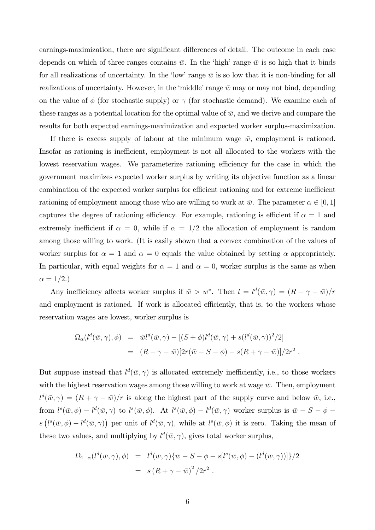earnings-maximization, there are significant differences of detail. The outcome in each case depends on which of three ranges contains  $\bar{w}$ . In the 'high' range  $\bar{w}$  is so high that it binds for all realizations of uncertainty. In the 'low' range  $\bar{w}$  is so low that it is non-binding for all realizations of uncertainty. However, in the 'middle' range  $\bar{w}$  may or may not bind, depending on the value of  $\phi$  (for stochastic supply) or  $\gamma$  (for stochastic demand). We examine each of these ranges as a potential location for the optimal value of  $\bar{w}$ , and we derive and compare the results for both expected earnings-maximization and expected worker surplus-maximization.

If there is excess supply of labour at the minimum wage  $\bar{w}$ , employment is rationed. Insofar as rationing is inefficient, employment is not all allocated to the workers with the lowest reservation wages. We parameterize rationing efficiency for the case in which the government maximizes expected worker surplus by writing its objective function as a linear combination of the expected worker surplus for efficient rationing and for extreme inefficient rationing of employment among those who are willing to work at  $\bar{w}$ . The parameter  $\alpha \in [0, 1]$ captures the degree of rationing efficiency. For example, rationing is efficient if  $\alpha = 1$  and extremely inefficient if  $\alpha = 0$ , while if  $\alpha = 1/2$  the allocation of employment is random among those willing to work. (It is easily shown that a convex combination of the values of worker surplus for  $\alpha = 1$  and  $\alpha = 0$  equals the value obtained by setting  $\alpha$  appropriately. In particular, with equal weights for  $\alpha = 1$  and  $\alpha = 0$ , worker surplus is the same as when  $\alpha = 1/2.$ 

Any inefficiency affects worker surplus if  $\bar{w} > w^*$ . Then  $l = l^d(\bar{w}, \gamma) = (R + \gamma - \bar{w})/r$ and employment is rationed. If work is allocated efficiently, that is, to the workers whose reservation wages are lowest, worker surplus is

$$
\Omega_{\alpha}(l^d(\bar{w}, \gamma), \phi) = \bar{w}l^d(\bar{w}, \gamma) - [(S + \phi)l^d(\bar{w}, \gamma) + s(l^d(\bar{w}, \gamma))^2/2]
$$
  
= 
$$
(R + \gamma - \bar{w})[2r(\bar{w} - S - \phi) - s(R + \gamma - \bar{w})]/2r^2.
$$

But suppose instead that  $l^d(\bar{w}, \gamma)$  is allocated extremely inefficiently, i.e., to those workers with the highest reservation wages among those willing to work at wage  $\bar{w}$ . Then, employment  $l^d(\bar{w}, \gamma) = (R + \gamma - \bar{w})/r$  is along the highest part of the supply curve and below  $\bar{w}$ , i.e., from  $l^s(\bar{w},\phi) - l^d(\bar{w},\gamma)$  to  $l^s(\bar{w},\phi)$ . At  $l^s(\bar{w},\phi) - l^d(\bar{w},\gamma)$  worker surplus is  $\bar{w} - S - \phi$  $s(l^s(\bar{w},\phi) - l^d(\bar{w},\gamma))$  per unit of  $l^d(\bar{w},\gamma)$ , while at  $l^s(\bar{w},\phi)$  it is zero. Taking the mean of these two values, and multiplying by  $l^d(\bar{w}, \gamma)$ , gives total worker surplus,

$$
\Omega_{1-\alpha}(l^d(\bar{w}, \gamma), \phi) = l^d(\bar{w}, \gamma) \{\bar{w} - S - \phi - s[l^s(\bar{w}, \phi) - (l^d(\bar{w}, \gamma))] \}/2 \n= s (R + \gamma - \bar{w})^2 / 2r^2 .
$$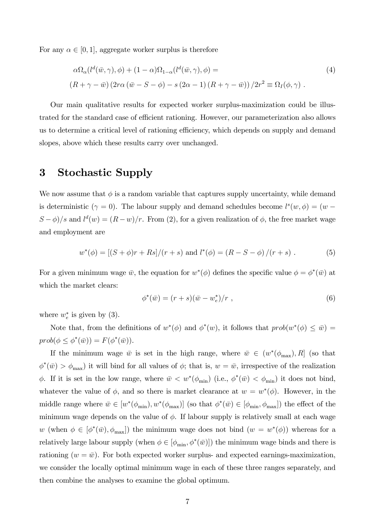For any  $\alpha \in [0, 1]$ , aggregate worker surplus is therefore

$$
\alpha \Omega_{\alpha} (l^{d}(\bar{w}, \gamma), \phi) + (1 - \alpha) \Omega_{1-\alpha} (l^{d}(\bar{w}, \gamma), \phi) =
$$
\n
$$
(R + \gamma - \bar{w}) (2r\alpha (\bar{w} - S - \phi) - s (2\alpha - 1) (R + \gamma - \bar{w})) / 2r^{2} \equiv \Omega_{I}(\phi, \gamma) .
$$
\n(4)

Our main qualitative results for expected worker surplus-maximization could be illustrated for the standard case of efficient rationing. However, our parameterization also allows us to determine a critical level of rationing efficiency, which depends on supply and demand slopes, above which these results carry over unchanged.

# 3 Stochastic Supply

We now assume that  $\phi$  is a random variable that captures supply uncertainty, while demand is deterministic ( $\gamma = 0$ ). The labour supply and demand schedules become  $l^s(w, \phi) = (w (S - \phi)/s$  and  $l^d(w) = (R - w)/r$ . From (2), for a given realization of  $\phi$ , the free market wage and employment are

$$
w^*(\phi) = [(S + \phi)r + Rs]/(r + s) \text{ and } l^*(\phi) = (R - S - \phi)/(r + s).
$$
 (5)

For a given minimum wage  $\bar{w}$ , the equation for  $w^*(\phi)$  defines the specific value  $\phi = \phi^*(\bar{w})$  at which the market clears:

$$
\phi^*(\bar{w}) = (r+s)(\bar{w} - w_e^*)/r , \qquad (6)
$$

where  $w_e^*$  is given by (3).

Note that, from the definitions of  $w^*(\phi)$  and  $\phi^*(w)$ , it follows that  $prob(w^*(\phi) \leq \bar{w})$  $prob(\phi \leq \phi^*(\bar{w})) = F(\phi^*(\bar{w})).$ 

If the minimum wage  $\bar{w}$  is set in the high range, where  $\bar{w} \in (w^*(\phi_{\text{max}}), R]$  (so that  $\phi^*(\bar{w}) > \phi_{\text{max}}$  it will bind for all values of  $\phi$ ; that is,  $w = \bar{w}$ , irrespective of the realization  $\phi$ . If it is set in the low range, where  $\bar{w} < w^*(\phi_{\min})$  (i.e.,  $\phi^*(\bar{w}) < \phi_{\min}$ ) it does not bind, whatever the value of  $\phi$ , and so there is market clearance at  $w = w^*(\phi)$ . However, in the middle range where  $\bar{w} \in [w^*(\phi_{\min}), w^*(\phi_{\max})]$  (so that  $\phi^*(\bar{w}) \in [\phi_{\min}, \phi_{\max}]$ ) the effect of the minimum wage depends on the value of  $\phi$ . If labour supply is relatively small at each wage w (when  $\phi \in [\phi^*(\bar{w}), \phi_{\text{max}}]$ ) the minimum wage does not bind  $(w = w^*(\phi))$  whereas for a relatively large labour supply (when  $\phi \in [\phi_{\min}, \phi^*(\bar{w})]$ ) the minimum wage binds and there is rationing  $(w = \bar{w})$ . For both expected worker surplus- and expected earnings-maximization, we consider the locally optimal minimum wage in each of these three ranges separately, and then combine the analyses to examine the global optimum.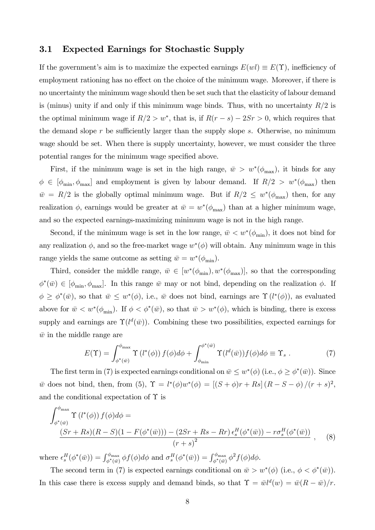#### 3.1 Expected Earnings for Stochastic Supply

If the government's aim is to maximize the expected earnings  $E(wl) \equiv E(\Upsilon)$ , inefficiency of employment rationing has no effect on the choice of the minimum wage. Moreover, if there is no uncertainty the minimum wage should then be set such that the elasticity of labour demand is (minus) unity if and only if this minimum wage binds. Thus, with no uncertainty  $R/2$  is the optimal minimum wage if  $R/2 > w^*$ , that is, if  $R(r - s) - 2Sr > 0$ , which requires that the demand slope  $r$  be sufficiently larger than the supply slope  $s$ . Otherwise, no minimum wage should be set. When there is supply uncertainty, however, we must consider the three potential ranges for the minimum wage specified above.

First, if the minimum wage is set in the high range,  $\bar{w} > w^*(\phi_{\text{max}})$ , it binds for any  $\phi \in [\phi_{\min}, \phi_{\max}]$  and employment is given by labour demand. If  $R/2 > w^*(\phi_{\max})$  then  $\bar{w} = R/2$  is the globally optimal minimum wage. But if  $R/2 \leq w^*(\phi_{\text{max}})$  then, for any realization  $\phi$ , earnings would be greater at  $\bar{w} = w^*(\phi_{\text{max}})$  than at a higher minimum wage, and so the expected earnings-maximizing minimum wage is not in the high range.

Second, if the minimum wage is set in the low range,  $\bar{w} < w^*(\phi_{\min})$ , it does not bind for any realization  $\phi$ , and so the free-market wage  $w^*(\phi)$  will obtain. Any minimum wage in this range yields the same outcome as setting  $\bar{w} = w^*(\phi_{\text{min}})$ .

Third, consider the middle range,  $\bar{w} \in [w^*(\phi_{min}), w^*(\phi_{max})]$ , so that the corresponding  $(\phi^*(\bar{w}) \in [\phi_{\min}, \phi_{\max}]$ . In this range  $\bar{w}$  may or not bind, depending on the realization  $\phi$ . If  $\phi \geq \phi^*(\bar{w})$ , so that  $\bar{w} \leq w^*(\phi)$ , i.e.,  $\bar{w}$  does not bind, earnings are  $\Upsilon(l^*(\phi))$ , as evaluated above for  $\bar{w} < w^*(\phi_{\text{min}})$ . If  $\phi < \phi^*(\bar{w})$ , so that  $\bar{w} > w^*(\phi)$ , which is binding, there is excess supply and earnings are  $\Upsilon(l^d(\bar{w}))$ . Combining these two possibilities, expected earnings for  $\bar{w}$  in the middle range are

$$
E(\Upsilon) = \int_{\phi^*(\bar{w})}^{\phi_{\text{max}}} \Upsilon(l^*(\phi)) f(\phi) d\phi + \int_{\phi_{\text{min}}}^{\phi^*(\bar{w})} \Upsilon(l^d(\bar{w})) f(\phi) d\phi \equiv \Upsilon_s . \tag{7}
$$

The first term in (7) is expected earnings conditional on  $\bar{w} \leq w^*(\phi)$  (i.e.,  $\phi \geq \phi^*(\bar{w})$ ). Since  $\bar{w}$  does not bind, then, from (5),  $\Upsilon = l^*(\phi)w^*(\phi) = [(S + \phi)r + Rs] (R - S - \phi)/(r + s)^2$ , and the conditional expectation of  $\Upsilon$  is

$$
\int_{\phi^*(\bar{w})}^{\phi_{\text{max}}} \Upsilon(l^*(\phi)) f(\phi) d\phi =
$$
\n
$$
\frac{(Sr + Rs)(R - S)(1 - F(\phi^*(\bar{w}))) - (2Sr + Rs - Rr) \epsilon_s^H(\phi^*(\bar{w})) - r \sigma_s^H(\phi^*(\bar{w}))}{(r + s)^2},
$$
\n(8)

where  $\epsilon_s^H(\phi^*(\bar{w})) = \int_{\phi^*(\bar{w})}^{\phi_{\text{max}}}\phi f(\phi)d\phi$  and  $\sigma_s^H(\phi^*(\bar{w})) = \int_{\phi^*(\bar{w})}^{\phi_{\text{max}}}\phi^2 f(\phi)d\phi$ .

The second term in (7) is expected earnings conditional on  $\bar{w} > w^*(\phi)$  (i.e.,  $\phi < \phi^*(\bar{w})$ ). In this case there is excess supply and demand binds, so that  $\Upsilon = \bar{w}l^d(w) = \bar{w}(R - \bar{w})/r$ .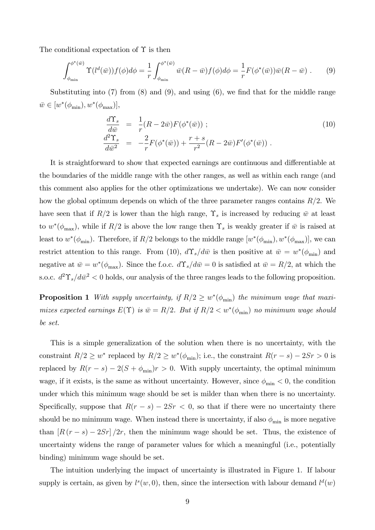The conditional expectation of  $\Upsilon$  is then

$$
\int_{\phi_{\min}}^{\phi^*(\bar{w})} \Upsilon(l^d(\bar{w})) f(\phi) d\phi = \frac{1}{r} \int_{\phi_{\min}}^{\phi^*(\bar{w})} \bar{w}(R - \bar{w}) f(\phi) d\phi = \frac{1}{r} F(\phi^*(\bar{w})) \bar{w}(R - \bar{w}) . \tag{9}
$$

Substituting into  $(7)$  from  $(8)$  and  $(9)$ , and using  $(6)$ , we find that for the middle range  $\bar{w} \in [w^*(\phi_{\min}), w^*(\phi_{\max})],$ 

$$
\frac{d\Upsilon_s}{d\bar{w}} = \frac{1}{r}(R - 2\bar{w})F(\phi^*(\bar{w}));
$$
\n
$$
\frac{d^2\Upsilon_s}{d\bar{w}^2} = -\frac{2}{r}F(\phi^*(\bar{w})) + \frac{r+s}{r^2}(R - 2\bar{w})F'(\phi^*(\bar{w})).
$$
\n(10)

It is straightforward to show that expected earnings are continuous and differentiable at the boundaries of the middle range with the other ranges, as well as within each range (and this comment also applies for the other optimizations we undertake). We can now consider how the global optimum depends on which of the three parameter ranges contains  $R/2$ . We have seen that if  $R/2$  is lower than the high range,  $\Upsilon<sub>s</sub>$  is increased by reducing  $\bar{w}$  at least to  $w^*(\phi_{\text{max}})$ , while if  $R/2$  is above the low range then  $\Upsilon_s$  is weakly greater if  $\bar{w}$  is raised at least to  $w^*(\phi_{\min})$ . Therefore, if  $R/2$  belongs to the middle range  $[w^*(\phi_{\min}), w^*(\phi_{\max})]$ , we can restrict attention to this range. From (10),  $d\Upsilon_s/d\bar{w}$  is then positive at  $\bar{w} = w^*(\phi_{\min})$  and negative at  $\bar{w} = w^*(\phi_{\text{max}})$ . Since the f.o.c.  $d\Upsilon_s/d\bar{w} = 0$  is satisfied at  $\bar{w} = R/2$ , at which the s.o.c.  $d^2\Upsilon_s/d\bar{w}^2 < 0$  holds, our analysis of the three ranges leads to the following proposition.

**Proposition 1** With supply uncertainty, if  $R/2 \geq w^*(\phi_{\min})$  the minimum wage that maximizes expected earnings  $E(\Upsilon)$  is  $\bar{w} = R/2$ . But if  $R/2 < w^*(\phi_{\min})$  no minimum wage should be set.

This is a simple generalization of the solution when there is no uncertainty, with the constraint  $R/2 \geq w^*$  replaced by  $R/2 \geq w^*(\phi_{\min})$ ; i.e., the constraint  $R(r - s) - 2Sr > 0$  is replaced by  $R(r - s) - 2(S + \phi_{\min})r > 0$ . With supply uncertainty, the optimal minimum wage, if it exists, is the same as without uncertainty. However, since  $\phi_{\min} < 0$ , the condition under which this minimum wage should be set is milder than when there is no uncertainty. Specifically, suppose that  $R(r - s) - 2Sr < 0$ , so that if there were no uncertainty there should be no minimum wage. When instead there is uncertainty, if also  $\phi_{\min}$  is more negative than  $[R(r - s) - 2Sr]/2r$ , then the minimum wage should be set. Thus, the existence of uncertainty widens the range of parameter values for which a meaningful (i.e., potentially binding) minimum wage should be set.

The intuition underlying the impact of uncertainty is illustrated in Figure 1. If labour supply is certain, as given by  $l^s(w,0)$ , then, since the intersection with labour demand  $l^d(w)$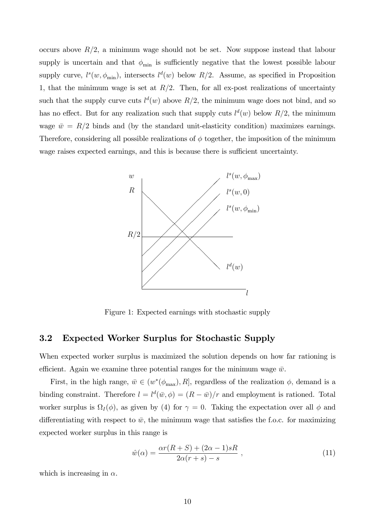occurs above  $R/2$ , a minimum wage should not be set. Now suppose instead that labour supply is uncertain and that  $\phi_{\min}$  is sufficiently negative that the lowest possible labour supply curve,  $l^s(w, \phi_{\min})$ , intersects  $l^d(w)$  below  $R/2$ . Assume, as specified in Proposition 1, that the minimum wage is set at  $R/2$ . Then, for all ex-post realizations of uncertainty such that the supply curve cuts  $l^d(w)$  above  $R/2$ , the minimum wage does not bind, and so has no effect. But for any realization such that supply cuts  $l^d(w)$  below  $R/2$ , the minimum wage  $\bar{w} = R/2$  binds and (by the standard unit-elasticity condition) maximizes earnings. Therefore, considering all possible realizations of  $\phi$  together, the imposition of the minimum wage raises expected earnings, and this is because there is sufficient uncertainty.



Figure 1: Expected earnings with stochastic supply

#### 3.2 Expected Worker Surplus for Stochastic Supply

When expected worker surplus is maximized the solution depends on how far rationing is efficient. Again we examine three potential ranges for the minimum wage  $\bar{w}$ .

First, in the high range,  $\bar{w} \in (w^*(\phi_{\text{max}}), R]$ , regardless of the realization  $\phi$ , demand is a binding constraint. Therefore  $l = l^d(\bar{w}, \phi) = (R - \bar{w})/r$  and employment is rationed. Total worker surplus is  $\Omega_I(\phi)$ , as given by (4) for  $\gamma = 0$ . Taking the expectation over all  $\phi$  and differentiating with respect to  $\bar{w}$ , the minimum wage that satisfies the f.o.c. for maximizing expected worker surplus in this range is

$$
\hat{w}(\alpha) = \frac{\alpha r(R+S) + (2\alpha - 1)sR}{2\alpha(r+s) - s} ,\qquad(11)
$$

which is increasing in  $\alpha$ .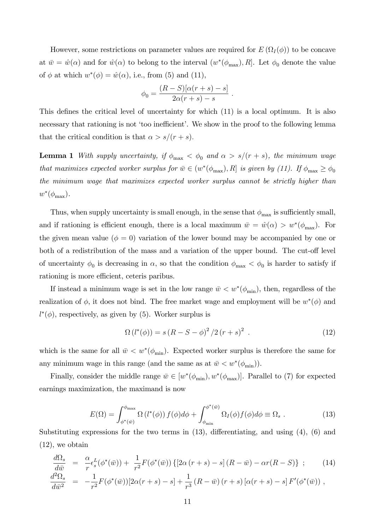However, some restrictions on parameter values are required for  $E(\Omega_I(\phi))$  to be concave at  $\bar{w} = \hat{w}(\alpha)$  and for  $\hat{w}(\alpha)$  to belong to the interval  $(w^*(\phi_{\text{max}}), R]$ . Let  $\phi_0$  denote the value of  $\phi$  at which  $w^*(\phi) = \hat{w}(\alpha)$ , i.e., from (5) and (11),

$$
\phi_0 = \frac{(R-S)[\alpha(r+s)-s]}{2\alpha(r+s)-s} .
$$

This defines the critical level of uncertainty for which  $(11)$  is a local optimum. It is also necessary that rationing is not 'too inefficient'. We show in the proof to the following lemma that the critical condition is that  $\alpha > s/(r + s)$ .

**Lemma 1** With supply uncertainty, if  $\phi_{\text{max}} < \phi_0$  and  $\alpha > s/(r + s)$ , the minimum wage that maximizes expected worker surplus for  $\bar{w} \in (w^*(\phi_{\text{max}}), R]$  is given by (11). If  $\phi_{\text{max}} \ge \phi_0$ the minimum wage that maximizes expected worker surplus cannot be strictly higher than  $w^*(\phi_{\text{max}}).$ 

Thus, when supply uncertainty is small enough, in the sense that  $\phi_{\text{max}}$  is sufficiently small, and if rationing is efficient enough, there is a local maximum  $\bar{w} = \hat{w}(\alpha) > w^*(\phi_{\text{max}})$ . For the given mean value ( $\phi = 0$ ) variation of the lower bound may be accompanied by one or both of a redistribution of the mass and a variation of the upper bound. The cut-off level of uncertainty  $\phi_0$  is decreasing in  $\alpha$ , so that the condition  $\phi_{\text{max}} < \phi_0$  is harder to satisfy if rationing is more efficient, ceteris paribus.

If instead a minimum wage is set in the low range  $\bar{w} < w^*(\phi_{\min})$ , then, regardless of the realization of  $\phi$ , it does not bind. The free market wage and employment will be  $w^*(\phi)$  and  $l^*(\phi)$ , respectively, as given by (5). Worker surplus is

$$
\Omega(l^*(\phi)) = s(R - S - \phi)^2 / 2(r + s)^2 . \tag{12}
$$

which is the same for all  $\bar{w} < w^*(\phi_{\min})$ . Expected worker surplus is therefore the same for any minimum wage in this range (and the same as at  $\bar{w} < w^*(\phi_{\min})$ ).

Finally, consider the middle range  $\bar{w} \in [w^*(\phi_{\min}), w^*(\phi_{\max})]$ . Parallel to (7) for expected earnings maximization, the maximand is now

$$
E(\Omega) = \int_{\phi^*(\bar{w})}^{\phi_{\text{max}}} \Omega(l^*(\phi)) f(\phi) d\phi + \int_{\phi_{\text{min}}}^{\phi^*(\bar{w})} \Omega_I(\phi) f(\phi) d\phi \equiv \Omega_s . \tag{13}
$$

Substituting expressions for the two terms in  $(13)$ , differentiating, and using  $(4)$ ,  $(6)$  and (12), we obtain

$$
\frac{d\Omega_s}{d\bar{w}} = \frac{\alpha}{r} \epsilon_s^L(\phi^*(\bar{w})) + \frac{1}{r^2} F(\phi^*(\bar{w})) \left\{ \left[ 2\alpha(r+s) - s \right] (R - \bar{w}) - \alpha r(R - S) \right\} ; \tag{14}
$$

$$
\frac{d^2\Omega_s}{d\bar{w}^2} = -\frac{1}{r^2}F(\phi^*(\bar{w}))[2\alpha(r+s)-s] + \frac{1}{r^3}(R-\bar{w})(r+s)[\alpha(r+s)-s]F'(\phi^*(\bar{w})) ,
$$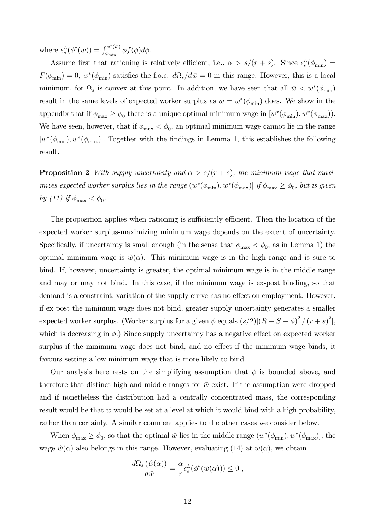where  $\epsilon_s^L(\phi^*(\bar{w})) = \int_{\phi_{\min}}^{\phi^*(\bar{w})}$  $\int_{\phi_{\rm min}}^{\phi_{\rm min}} \phi f(\phi) d\phi.$ 

Assume first that rationing is relatively efficient, i.e.,  $\alpha > s/(r + s)$ . Since  $\epsilon_s^L(\phi_{\min}) =$  $F(\phi_{\min}) = 0$ ,  $w^*(\phi_{\min})$  satisfies the f.o.c.  $d\Omega_s/d\bar{w} = 0$  in this range. However, this is a local minimum, for  $\Omega_s$  is convex at this point. In addition, we have seen that all  $\bar{w} < w^*(\phi_{\min})$ result in the same levels of expected worker surplus as  $\bar{w} = w^*(\phi_{\min})$  does. We show in the appendix that if  $\phi_{\text{max}} \ge \phi_0$  there is a unique optimal minimum wage in  $[w^*(\phi_{\text{min}}), w^*(\phi_{\text{max}}))$ . We have seen, however, that if  $\phi_{\text{max}} < \phi_0$ , an optimal minimum wage cannot lie in the range  $[w^*(\phi_{\min}), w^*(\phi_{\max})]$ . Together with the findings in Lemma 1, this establishes the following result.

**Proposition 2** With supply uncertainty and  $\alpha > s/(r + s)$ , the minimum wage that maximizes expected worker surplus lies in the range  $(w^*(\phi_{\min}), w^*(\phi_{\max}))$  if  $\phi_{\max} \ge \phi_0$ , but is given by (11) if  $\phi_{\text{max}} < \phi_0$ .

The proposition applies when rationing is sufficiently efficient. Then the location of the expected worker surplus-maximizing minimum wage depends on the extent of uncertainty. Specifically, if uncertainty is small enough (in the sense that  $\phi_{\text{max}} < \phi_0$ , as in Lemma 1) the optimal minimum wage is  $\hat{w}(\alpha)$ . This minimum wage is in the high range and is sure to bind. If, however, uncertainty is greater, the optimal minimum wage is in the middle range and may or may not bind. In this case, if the minimum wage is ex-post binding, so that demand is a constraint, variation of the supply curve has no effect on employment. However, if ex post the minimum wage does not bind, greater supply uncertainty generates a smaller expected worker surplus. (Worker surplus for a given  $\phi$  equals  $(s/2)[(R - S - \phi)^2 / (r + s)^2]$ , which is decreasing in  $\phi$ .) Since supply uncertainty has a negative effect on expected worker surplus if the minimum wage does not bind, and no effect if the minimum wage binds, it favours setting a low minimum wage that is more likely to bind.

Our analysis here rests on the simplifying assumption that  $\phi$  is bounded above, and therefore that distinct high and middle ranges for  $\bar{w}$  exist. If the assumption were dropped and if nonetheless the distribution had a centrally concentrated mass, the corresponding result would be that  $\bar{w}$  would be set at a level at which it would bind with a high probability, rather than certainly. A similar comment applies to the other cases we consider below.

When  $\phi_{\text{max}} \ge \phi_0$ , so that the optimal  $\bar{w}$  lies in the middle range  $(w^*(\phi_{\text{min}}), w^*(\phi_{\text{max}}))$ , the wage  $\hat{w}(\alpha)$  also belongs in this range. However, evaluating (14) at  $\hat{w}(\alpha)$ , we obtain

$$
\frac{d\Omega_s(\hat{w}(\alpha))}{d\bar{w}} = \frac{\alpha}{r} \epsilon_s^L(\phi^*(\hat{w}(\alpha))) \leq 0,
$$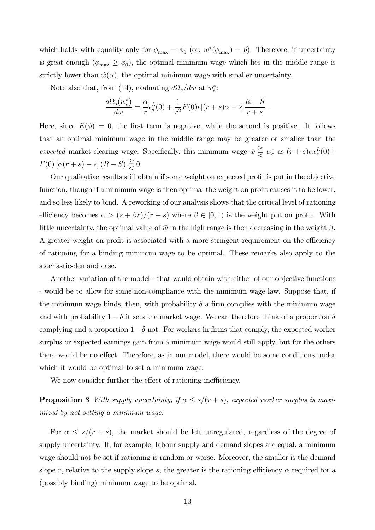which holds with equality only for  $\phi_{\text{max}} = \phi_0$  (or,  $w^*(\phi_{\text{max}}) = \hat{p}$ ). Therefore, if uncertainty is great enough  $(\phi_{\text{max}} \ge \phi_0)$ , the optimal minimum wage which lies in the middle range is strictly lower than  $\hat{w}(\alpha)$ , the optimal minimum wage with smaller uncertainty.

Note also that, from (14), evaluating  $d\Omega_s/d\bar{w}$  at  $w_e^*$ :

$$
\frac{d\Omega_s(w_e^*)}{d\bar{w}} = \frac{\alpha}{r} \epsilon_s^L(0) + \frac{1}{r^2} F(0) r[(r+s)\alpha - s] \frac{R-S}{r+s}.
$$

Here, since  $E(\phi) = 0$ , the first term is negative, while the second is positive. It follows that an optimal minimum wage in the middle range may be greater or smaller than the expected market-clearing wage. Specifically, this minimum wage  $\bar{w} \geq w_e^*$  as  $(r + s)\alpha \epsilon_s^L(0) +$  $F(0) [\alpha(r + s) - s] (R - S) \geqq 0.$ 

Our qualitative results still obtain if some weight on expected profit is put in the objective function, though if a minimum wage is then optimal the weight on profit causes it to be lower, and so less likely to bind. A reworking of our analysis shows that the critical level of rationing efficiency becomes  $\alpha > (s + \beta r)/(r + s)$  where  $\beta \in [0, 1)$  is the weight put on profit. With little uncertainty, the optimal value of  $\bar{w}$  in the high range is then decreasing in the weight  $\beta$ . A greater weight on profit is associated with a more stringent requirement on the efficiency of rationing for a binding minimum wage to be optimal. These remarks also apply to the stochastic-demand case.

Another variation of the model - that would obtain with either of our objective functions - would be to allow for some non-compliance with the minimum wage law. Suppose that, if the minimum wage binds, then, with probability  $\delta$  a firm complies with the minimum wage and with probability  $1 - \delta$  it sets the market wage. We can therefore think of a proportion  $\delta$ complying and a proportion  $1 - \delta$  not. For workers in firms that comply, the expected worker surplus or expected earnings gain from a minimum wage would still apply, but for the others there would be no effect. Therefore, as in our model, there would be some conditions under which it would be optimal to set a minimum wage.

We now consider further the effect of rationing inefficiency.

**Proposition 3** With supply uncertainty, if  $\alpha \leq s/(r + s)$ , expected worker surplus is maximized by not setting a minimum wage.

For  $\alpha \leq s/(r + s)$ , the market should be left unregulated, regardless of the degree of supply uncertainty. If, for example, labour supply and demand slopes are equal, a minimum wage should not be set if rationing is random or worse. Moreover, the smaller is the demand slope r, relative to the supply slope s, the greater is the rationing efficiency  $\alpha$  required for a (possibly binding) minimum wage to be optimal.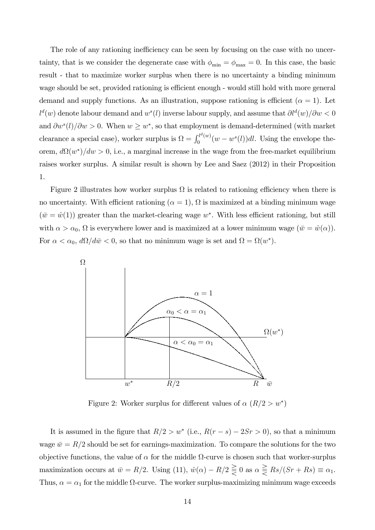The role of any rationing inefficiency can be seen by focusing on the case with no uncertainty, that is we consider the degenerate case with  $\phi_{\min} = \phi_{\max} = 0$ . In this case, the basic result - that to maximize worker surplus when there is no uncertainty a binding minimum wage should be set, provided rationing is efficient enough - would still hold with more general demand and supply functions. As an illustration, suppose rationing is efficient ( $\alpha = 1$ ). Let  $l^d(w)$  denote labour demand and  $w^s(l)$  inverse labour supply, and assume that  $\partial l^d(w)/\partial w < 0$ and  $\partial w^s(l)/\partial w > 0$ . When  $w \geq w^*$ , so that employment is demand-determined (with market clearance a special case), worker surplus is  $\Omega = \int_0^{l^d(w)}$  $\int_0^{u(u)} (w - w^s(l))dl$ . Using the envelope theorem,  $d\Omega(w^*)/dw > 0$ , i.e., a marginal increase in the wage from the free-market equilibrium raises worker surplus. A similar result is shown by Lee and Saez (2012) in their Proposition 1.

Figure 2 illustrates how worker surplus  $\Omega$  is related to rationing efficiency when there is no uncertainty. With efficient rationing ( $\alpha = 1$ ),  $\Omega$  is maximized at a binding minimum wage  $(\bar{w} = \hat{w}(1))$  greater than the market-clearing wage  $w^*$ . With less efficient rationing, but still with  $\alpha > \alpha_0$ ,  $\Omega$  is everywhere lower and is maximized at a lower minimum wage  $(\bar{w} = \hat{w}(\alpha))$ . For  $\alpha < \alpha_0$ ,  $d\Omega/d\bar{w} < 0$ , so that no minimum wage is set and  $\Omega = \Omega(w^*)$ .



Figure 2: Worker surplus for different values of  $\alpha$  ( $R/2 > w^*$ )

It is assumed in the figure that  $R/2 > w^*$  (i.e.,  $R(r - s) - 2Sr > 0$ ), so that a minimum wage  $\bar{w} = R/2$  should be set for earnings-maximization. To compare the solutions for the two objective functions, the value of  $\alpha$  for the middle  $\Omega$ -curve is chosen such that worker-surplus maximization occurs at  $\bar{w} = R/2$ . Using (11),  $\hat{w}(\alpha) - R/2 \geq 0$  as  $\alpha \geq Rs/(Sr + Rs) \equiv \alpha_1$ . Thus,  $\alpha = \alpha_1$  for the middle  $\Omega$ -curve. The worker surplus-maximizing minimum wage exceeds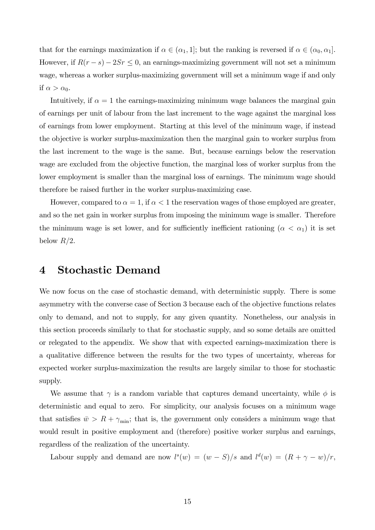that for the earnings maximization if  $\alpha \in (\alpha_1, 1]$ ; but the ranking is reversed if  $\alpha \in (\alpha_0, \alpha_1]$ . However, if  $R(r - s) - 2Sr \leq 0$ , an earnings-maximizing government will not set a minimum wage, whereas a worker surplus-maximizing government will set a minimum wage if and only if  $\alpha > \alpha_0$ .

Intuitively, if  $\alpha = 1$  the earnings-maximizing minimum wage balances the marginal gain of earnings per unit of labour from the last increment to the wage against the marginal loss of earnings from lower employment. Starting at this level of the minimum wage, if instead the objective is worker surplus-maximization then the marginal gain to worker surplus from the last increment to the wage is the same. But, because earnings below the reservation wage are excluded from the objective function, the marginal loss of worker surplus from the lower employment is smaller than the marginal loss of earnings. The minimum wage should therefore be raised further in the worker surplus-maximizing case.

However, compared to  $\alpha = 1$ , if  $\alpha < 1$  the reservation wages of those employed are greater, and so the net gain in worker surplus from imposing the minimum wage is smaller. Therefore the minimum wage is set lower, and for sufficiently inefficient rationing  $(\alpha < \alpha_1)$  it is set below  $R/2$ .

# 4 Stochastic Demand

We now focus on the case of stochastic demand, with deterministic supply. There is some asymmetry with the converse case of Section 3 because each of the objective functions relates only to demand, and not to supply, for any given quantity. Nonetheless, our analysis in this section proceeds similarly to that for stochastic supply, and so some details are omitted or relegated to the appendix. We show that with expected earnings-maximization there is a qualitative difference between the results for the two types of uncertainty, whereas for expected worker surplus-maximization the results are largely similar to those for stochastic supply.

We assume that  $\gamma$  is a random variable that captures demand uncertainty, while  $\phi$  is deterministic and equal to zero. For simplicity, our analysis focuses on a minimum wage that satisfies  $\bar{w} > R + \gamma_{\min}$ ; that is, the government only considers a minimum wage that would result in positive employment and (therefore) positive worker surplus and earnings, regardless of the realization of the uncertainty.

Labour supply and demand are now  $l^s(w) = (w - S)/s$  and  $l^d(w) = (R + \gamma - w)/r$ ,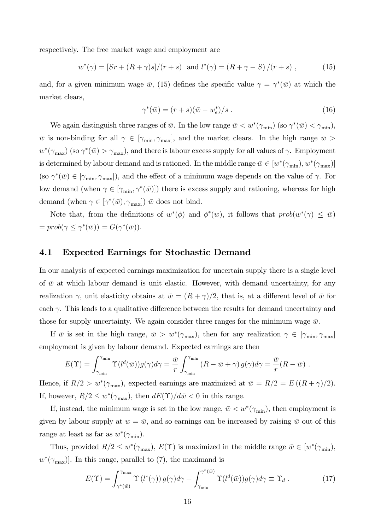respectively. The free market wage and employment are

$$
w^*(\gamma) = [Sr + (R + \gamma)s]/(r + s) \text{ and } l^*(\gamma) = (R + \gamma - S)/(r + s) ,
$$
 (15)

and, for a given minimum wage  $\bar{w}$ , (15) defines the specific value  $\gamma = \gamma^*(\bar{w})$  at which the market clears,

$$
\gamma^*(\bar{w}) = (r+s)(\bar{w} - w_e^*)/s . \tag{16}
$$

We again distinguish three ranges of  $\bar{w}$ . In the low range  $\bar{w} < w^*(\gamma_{\min})$  (so  $\gamma^*(\bar{w}) < \gamma_{\min}$ ),  $\bar{w}$  is non-binding for all  $\gamma \in [\gamma_{\min}, \gamma_{\max}]$ , and the market clears. In the high range  $\bar{w}$  $w^*(\gamma_{\max})$  (so  $\gamma^*(\bar{w}) > \gamma_{\max}$ ), and there is labour excess supply for all values of  $\gamma$ . Employment is determined by labour demand and is rationed. In the middle range  $\bar{w} \in [w^*(\gamma_{\min}), w^*(\gamma_{\max})]$ (so  $\gamma^*(\bar{w}) \in [\gamma_{\min}, \gamma_{\max}]$ ), and the effect of a minimum wage depends on the value of  $\gamma$ . For low demand (when  $\gamma \in [\gamma_{\min}, \gamma^*(\bar{w})]$ ) there is excess supply and rationing, whereas for high demand (when  $\gamma \in [\gamma^*(\bar{w}), \gamma_{\text{max}}])$  w does not bind.

Note that, from the definitions of  $w^*(\phi)$  and  $\phi^*(w)$ , it follows that  $prob(w^*(\gamma) \leq \overline{w})$  $= prob(\gamma \leq \gamma^*(\bar{w})) = G(\gamma^*(\bar{w})).$ 

#### 4.1 Expected Earnings for Stochastic Demand

In our analysis of expected earnings maximization for uncertain supply there is a single level of  $\bar{w}$  at which labour demand is unit elastic. However, with demand uncertainty, for any realization  $\gamma$ , unit elasticity obtains at  $\bar{w} = (R + \gamma)/2$ , that is, at a different level of  $\bar{w}$  for each  $\gamma$ . This leads to a qualitative difference between the results for demand uncertainty and those for supply uncertainty. We again consider three ranges for the minimum wage  $\bar{w}$ .

If  $\bar{w}$  is set in the high range,  $\bar{w} > w^*(\gamma_{\max})$ , then for any realization  $\gamma \in [\gamma_{\min}, \gamma_{\max}]$ employment is given by labour demand. Expected earnings are then

$$
E(\Upsilon) = \int_{\gamma_{\min}}^{\gamma_{\min}} \Upsilon(l^d(\bar{w})) g(\gamma) d\gamma = \frac{\bar{w}}{r} \int_{\gamma_{\min}}^{\gamma_{\min}} (R - \bar{w} + \gamma) g(\gamma) d\gamma = \frac{\bar{w}}{r} (R - \bar{w}).
$$

Hence, if  $R/2 > w^*(\gamma_{\text{max}})$ , expected earnings are maximized at  $\bar{w} = R/2 = E((R + \gamma)/2)$ . If, however,  $R/2 \leq w^*(\gamma_{\text{max}})$ , then  $dE(\Upsilon)/d\bar{w} < 0$  in this range.

If, instead, the minimum wage is set in the low range,  $\bar{w} < w^*(\gamma_{\min})$ , then employment is given by labour supply at  $w = \bar{w}$ , and so earnings can be increased by raising  $\bar{w}$  out of this range at least as far as  $w^*(\gamma_{\min})$ .

Thus, provided  $R/2 \leq w^*(\gamma_{\max}), E(\Upsilon)$  is maximized in the middle range  $\bar{w} \in [w^*(\gamma_{\min}),$  $w^*(\gamma_{\text{max}})$ . In this range, parallel to (7), the maximand is

$$
E(\Upsilon) = \int_{\gamma^*(\bar{w})}^{\gamma_{\text{max}}} \Upsilon(l^*(\gamma)) g(\gamma) d\gamma + \int_{\gamma_{\text{min}}}^{\gamma^*(\bar{w})} \Upsilon(l^d(\bar{w})) g(\gamma) d\gamma \equiv \Upsilon_d . \tag{17}
$$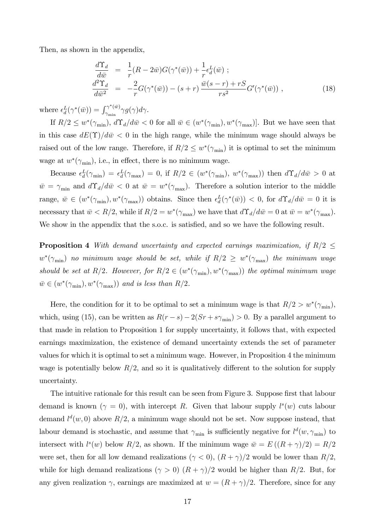Then, as shown in the appendix,

$$
\frac{d\Upsilon_d}{d\bar{w}} = \frac{1}{r}(R - 2\bar{w})G(\gamma^*(\bar{w})) + \frac{1}{r}\epsilon_d^L(\bar{w}) ;\n\frac{d^2\Upsilon_d}{d\bar{w}^2} = -\frac{2}{r}G(\gamma^*(\bar{w})) - (s+r)\frac{\bar{w}(s-r) + rS}{rs^2}G'(\gamma^*(\bar{w})) ,
$$
\n(18)

where  $\epsilon_d^L(\gamma^*(\bar{w})) = \int_{\gamma_{\min}}^{\gamma^*(\bar{w})}$  $\int_{\gamma_{\rm min}}^{\gamma_{\rm min}} \gamma g(\gamma) d\gamma.$ 

If  $R/2 \leq w^*(\gamma_{\min}), d\Upsilon_d/d\bar{w} < 0$  for all  $\bar{w} \in (w^*(\gamma_{\min}), w^*(\gamma_{\max})]$ . But we have seen that in this case  $dE(\Upsilon)/d\bar{w} < 0$  in the high range, while the minimum wage should always be raised out of the low range. Therefore, if  $R/2 \leq w^*(\gamma_{\min})$  it is optimal to set the minimum wage at  $w^*(\gamma_{\min})$ , i.e., in effect, there is no minimum wage.

Because  $\epsilon_d^L(\gamma_{\min}) = \epsilon_d^L(\gamma_{\max}) = 0$ , if  $R/2 \in (w^*(\gamma_{\min}), w^*(\gamma_{\max}))$  then  $d\Upsilon_d/d\bar{w} > 0$  at  $\bar{w} = \gamma_{\min}$  and  $d\Upsilon_d/d\bar{w} < 0$  at  $\bar{w} = w^*(\gamma_{\max})$ . Therefore a solution interior to the middle range,  $\bar{w} \in (w^*(\gamma_{\min}), w^*(\gamma_{\max}))$  obtains. Since then  $\epsilon_d^L(\gamma^*(\bar{w})) < 0$ , for  $d\Upsilon_d/d\bar{w} = 0$  it is necessary that  $\bar{w} < R/2$ , while if  $R/2 = w^*(\gamma_{\text{max}})$  we have that  $d\Upsilon_d/d\bar{w} = 0$  at  $\bar{w} = w^*(\gamma_{\text{max}})$ . We show in the appendix that the s.o.c. is satisfied, and so we have the following result.

**Proposition 4** With demand uncertainty and expected earnings maximization, if  $R/2 \leq$  $w^*(\gamma_{\min})$  no minimum wage should be set, while if  $R/2 \, \geq \, w^*(\gamma_{\max})$  the minimum wage should be set at R/2. However, for  $R/2 \in (w^*(\gamma_{\min}), w^*(\gamma_{\max}))$  the optimal minimum wage  $\bar{w} \in (w^*(\gamma_{\min}), w^*(\gamma_{\max}))$  and is less than  $R/2$ .

Here, the condition for it to be optimal to set a minimum wage is that  $R/2 > w^*(\gamma_{\min}),$ which, using (15), can be written as  $R(r - s) - 2(Sr + s\gamma_{\min}) > 0$ . By a parallel argument to that made in relation to Proposition 1 for supply uncertainty, it follows that, with expected earnings maximization, the existence of demand uncertainty extends the set of parameter values for which it is optimal to set a minimum wage. However, in Proposition 4 the minimum wage is potentially below  $R/2$ , and so it is qualitatively different to the solution for supply uncertainty.

The intuitive rationale for this result can be seen from Figure 3. Suppose first that labour demand is known  $(\gamma = 0)$ , with intercept R. Given that labour supply  $l^s(w)$  cuts labour demand  $l^d(w,0)$  above  $R/2$ , a minimum wage should not be set. Now suppose instead, that labour demand is stochastic, and assume that  $\gamma_{\rm min}$  is sufficiently negative for  $l^d(w, \gamma_{\rm min})$  to intersect with  $l^s(w)$  below  $R/2$ , as shown. If the minimum wage  $\bar{w} = E((R + \gamma)/2) = R/2$ were set, then for all low demand realizations  $(\gamma < 0)$ ,  $(R + \gamma)/2$  would be lower than  $R/2$ . while for high demand realizations ( $\gamma > 0$ )  $(R + \gamma)/2$  would be higher than R/2. But, for any given realization  $\gamma$ , earnings are maximized at  $w = (R + \gamma)/2$ . Therefore, since for any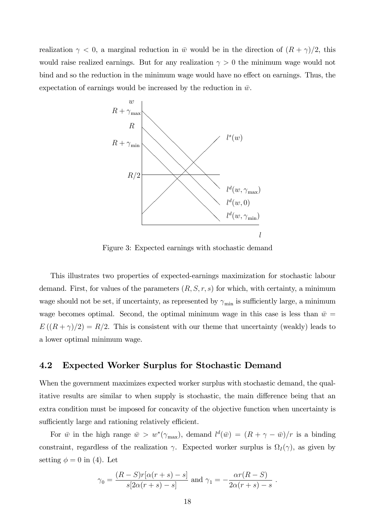realization  $\gamma < 0$ , a marginal reduction in  $\bar{w}$  would be in the direction of  $(R + \gamma)/2$ , this would raise realized earnings. But for any realization  $\gamma > 0$  the minimum wage would not bind and so the reduction in the minimum wage would have no effect on earnings. Thus, the expectation of earnings would be increased by the reduction in  $\bar{w}$ .



Figure 3: Expected earnings with stochastic demand

This illustrates two properties of expected-earnings maximization for stochastic labour demand. First, for values of the parameters  $(R, S, r, s)$  for which, with certainty, a minimum wage should not be set, if uncertainty, as represented by  $\gamma_{\min}$  is sufficiently large, a minimum wage becomes optimal. Second, the optimal minimum wage in this case is less than  $\bar{w} =$  $E((R+\gamma)/2) = R/2$ . This is consistent with our theme that uncertainty (weakly) leads to a lower optimal minimum wage.

#### 4.2 Expected Worker Surplus for Stochastic Demand

When the government maximizes expected worker surplus with stochastic demand, the qualitative results are similar to when supply is stochastic, the main difference being that an extra condition must be imposed for concavity of the objective function when uncertainty is sufficiently large and rationing relatively efficient.

For  $\bar{w}$  in the high range  $\bar{w} > w^*(\gamma_{\max})$ , demand  $l^d(\bar{w}) = (R + \gamma - \bar{w})/r$  is a binding constraint, regardless of the realization  $\gamma$ . Expected worker surplus is  $\Omega_I(\gamma)$ , as given by setting  $\phi = 0$  in (4). Let

$$
\gamma_0 = \frac{(R-S)r[\alpha(r+s)-s]}{s[2\alpha(r+s)-s]} \text{ and } \gamma_1 = -\frac{\alpha r(R-S)}{2\alpha(r+s)-s}.
$$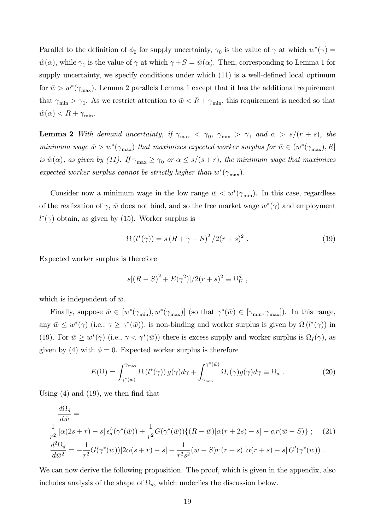Parallel to the definition of  $\phi_0$  for supply uncertainty,  $\gamma_0$  is the value of  $\gamma$  at which  $w^*(\gamma)$  $\hat{w}(\alpha)$ , while  $\gamma_1$  is the value of  $\gamma$  at which  $\gamma + S = \hat{w}(\alpha)$ . Then, corresponding to Lemma 1 for supply uncertainty, we specify conditions under which  $(11)$  is a well-defined local optimum for  $\bar{w} > w^*(\gamma_{\text{max}})$ . Lemma 2 parallels Lemma 1 except that it has the additional requirement that  $\gamma_{\min} > \gamma_1$ . As we restrict attention to  $\bar{w} < R + \gamma_{\min}$ , this requirement is needed so that  $\hat{w}(\alpha) < R + \gamma_{\min}$ .

**Lemma 2** With demand uncertainty, if  $\gamma_{\text{max}} < \gamma_0$ ,  $\gamma_{\text{min}} > \gamma_1$  and  $\alpha > s/(r + s)$ , the minimum wage  $\bar{w} > w^*(\gamma_{\max})$  that maximizes expected worker surplus for  $\bar{w} \in (w^*(\gamma_{\max}), R]$ is  $\hat{w}(\alpha)$ , as given by (11). If  $\gamma_{\text{max}} \ge \gamma_0$  or  $\alpha \le s/(s + r)$ , the minimum wage that maximizes expected worker surplus cannot be strictly higher than  $w^*(\gamma_{\max})$ .

Consider now a minimum wage in the low range  $\bar{w} < w^*(\gamma_{\min})$ . In this case, regardless of the realization of  $\gamma$ ,  $\bar{w}$  does not bind, and so the free market wage  $w^*(\gamma)$  and employment  $l^*(\gamma)$  obtain, as given by (15). Worker surplus is

$$
\Omega(l^*(\gamma)) = s(R + \gamma - S)^2 / 2(r + s)^2.
$$
 (19)

Expected worker surplus is therefore

$$
s[(R - S)^{2} + E(\gamma^{2})]/2(r + s)^{2} \equiv \Omega_{U}^{d} ,
$$

which is independent of  $\bar{w}$ .

Finally, suppose  $\bar{w} \in [w^*(\gamma_{\min}), w^*(\gamma_{\max})]$  (so that  $\gamma^*(\bar{w}) \in [\gamma_{\min}, \gamma_{\max}]$ ). In this range, any  $\bar{w} \leq w^*(\gamma)$  (i.e.,  $\gamma \geq \gamma^*(\bar{w})$ ), is non-binding and worker surplus is given by  $\Omega(l^*(\gamma))$  in (19). For  $\bar{w} \geq w^*(\gamma)$  (i.e.,  $\gamma < \gamma^*(\bar{w})$ ) there is excess supply and worker surplus is  $\Omega_I(\gamma)$ , as given by (4) with  $\phi = 0$ . Expected worker surplus is therefore

$$
E(\Omega) = \int_{\gamma^*(\bar{w})}^{\gamma_{\text{max}}} \Omega(l^*(\gamma)) g(\gamma) d\gamma + \int_{\gamma_{\text{min}}}^{\gamma^*(\bar{w})} \Omega_I(\gamma) g(\gamma) d\gamma \equiv \Omega_d . \tag{20}
$$

Using  $(4)$  and  $(19)$ , we then find that

$$
\frac{d\Omega_d}{d\bar{w}} =
$$
\n
$$
\frac{1}{r^2} [\alpha(2s+r) - s] \epsilon_d^L(\gamma^*(\bar{w})) + \frac{1}{r^2} G(\gamma^*(\bar{w})) \{ (R - \bar{w}) [\alpha(r+2s) - s] - \alpha r(\bar{w} - S) \}; \quad (21)
$$
\n
$$
\frac{d^2\Omega_d}{d\bar{w}^2} = -\frac{1}{r^2} G(\gamma^*(\bar{w})) [2\alpha(s+r) - s] + \frac{1}{r^2 s^2} (\bar{w} - S)r(r+s) [\alpha(r+s) - s] G'(\gamma^*(\bar{w})) .
$$

We can now derive the following proposition. The proof, which is given in the appendix, also includes analysis of the shape of  $\Omega_d$ , which underlies the discussion below.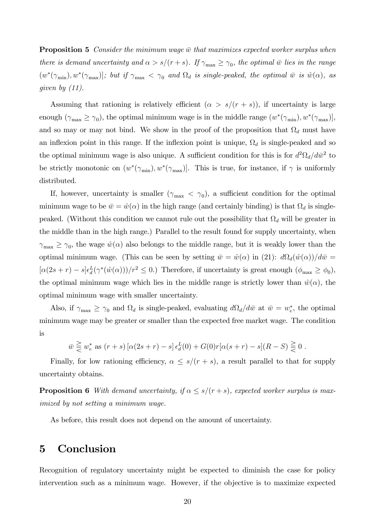**Proposition 5** Consider the minimum wage  $\bar{w}$  that maximizes expected worker surplus when there is demand uncertainty and  $\alpha > s/(r + s)$ . If  $\gamma_{\text{max}} \ge \gamma_0$ , the optimal  $\bar{w}$  lies in the range  $(w^*(\gamma_{\min}), w^*(\gamma_{\max})]$ ; but if  $\gamma_{\max} < \gamma_0$  and  $\Omega_d$  is single-peaked, the optimal  $\bar{w}$  is  $\hat{w}(\alpha)$ , as given by  $(11)$ .

Assuming that rationing is relatively efficient  $(\alpha > s/(r + s))$ , if uncertainty is large enough  $(\gamma_{\text{max}} \ge \gamma_0)$ , the optimal minimum wage is in the middle range  $(w^*(\gamma_{\text{min}}), w^*(\gamma_{\text{max}}))$ , and so may or may not bind. We show in the proof of the proposition that  $\Omega_d$  must have an inflexion point in this range. If the inflexion point is unique,  $\Omega_d$  is single-peaked and so the optimal minimum wage is also unique. A sufficient condition for this is for  $d^2\Omega_d/d\bar{w}^2$  to be strictly monotonic on  $(w^*(\gamma_{\min}), w^*(\gamma_{\max})]$ . This is true, for instance, if  $\gamma$  is uniformly distributed.

If, however, uncertainty is smaller  $(\gamma_{\text{max}} < \gamma_0)$ , a sufficient condition for the optimal minimum wage to be  $\bar{w} = \hat{w}(\alpha)$  in the high range (and certainly binding) is that  $\Omega_d$  is singlepeaked. (Without this condition we cannot rule out the possibility that  $\Omega_d$  will be greater in the middle than in the high range.) Parallel to the result found for supply uncertainty, when  $\gamma_{\text{max}} \ge \gamma_0$ , the wage  $\hat{w}(\alpha)$  also belongs to the middle range, but it is weakly lower than the optimal minimum wage. (This can be seen by setting  $\bar{w} = \hat{w}(\alpha)$  in (21):  $d\Omega_d(\hat{w}(\alpha))/d\bar{w} =$  $[\alpha(2s+r)-s] \epsilon_d^L(\gamma^*(\hat{w}(\alpha)))/r^2 \leq 0.$  Therefore, if uncertainty is great enough  $(\phi_{\text{max}} \geq \phi_0)$ , the optimal minimum wage which lies in the middle range is strictly lower than  $\hat{w}(\alpha)$ , the optimal minimum wage with smaller uncertainty.

Also, if  $\gamma_{\text{max}} \ge \gamma_0$  and  $\Omega_d$  is single-peaked, evaluating  $d\Omega_d/d\bar{w}$  at  $\bar{w} = w_e^*$ , the optimal minimum wage may be greater or smaller than the expected free market wage. The condition is

$$
\bar{w} \geq w_e^* \text{ as } (r+s) \left[ \alpha(2s+r) - s \right] \epsilon_d^L(0) + G(0)r[\alpha(s+r) - s](R-S) \geq 0.
$$

Finally, for low rationing efficiency,  $\alpha \leq s/(r + s)$ , a result parallel to that for supply uncertainty obtains.

**Proposition 6** With demand uncertainty, if  $\alpha \leq s/(r + s)$ , expected worker surplus is maximized by not setting a minimum wage.

As before, this result does not depend on the amount of uncertainty.

# 5 Conclusion

Recognition of regulatory uncertainty might be expected to diminish the case for policy intervention such as a minimum wage. However, if the objective is to maximize expected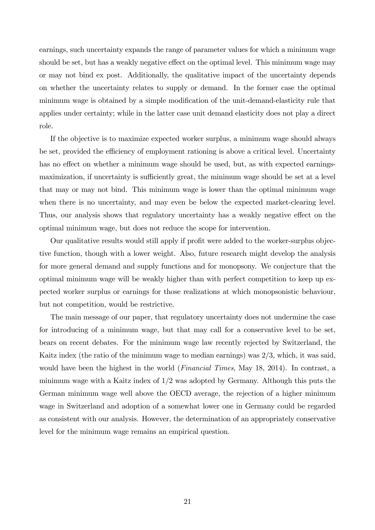earnings, such uncertainty expands the range of parameter values for which a minimum wage should be set, but has a weakly negative effect on the optimal level. This minimum wage may or may not bind ex post. Additionally, the qualitative impact of the uncertainty depends on whether the uncertainty relates to supply or demand. In the former case the optimal minimum wage is obtained by a simple modification of the unit-demand-elasticity rule that applies under certainty; while in the latter case unit demand elasticity does not play a direct role.

If the objective is to maximize expected worker surplus, a minimum wage should always be set, provided the efficiency of employment rationing is above a critical level. Uncertainty has no effect on whether a minimum wage should be used, but, as with expected earningsmaximization, if uncertainty is sufficiently great, the minimum wage should be set at a level that may or may not bind. This minimum wage is lower than the optimal minimum wage when there is no uncertainty, and may even be below the expected market-clearing level. Thus, our analysis shows that regulatory uncertainty has a weakly negative effect on the optimal minimum wage, but does not reduce the scope for intervention.

Our qualitative results would still apply if profit were added to the worker-surplus objective function, though with a lower weight. Also, future research might develop the analysis for more general demand and supply functions and for monopsony. We conjecture that the optimal minimum wage will be weakly higher than with perfect competition to keep up expected worker surplus or earnings for those realizations at which monopsonistic behaviour, but not competition, would be restrictive.

The main message of our paper, that regulatory uncertainty does not undermine the case for introducing of a minimum wage, but that may call for a conservative level to be set, bears on recent debates. For the minimum wage law recently rejected by Switzerland, the Kaitz index (the ratio of the minimum wage to median earnings) was 2/3, which, it was said, would have been the highest in the world (*Financial Times*, May 18, 2014). In contrast, a minimum wage with a Kaitz index of 1/2 was adopted by Germany. Although this puts the German minimum wage well above the OECD average, the rejection of a higher minimum wage in Switzerland and adoption of a somewhat lower one in Germany could be regarded as consistent with our analysis. However, the determination of an appropriately conservative level for the minimum wage remains an empirical question.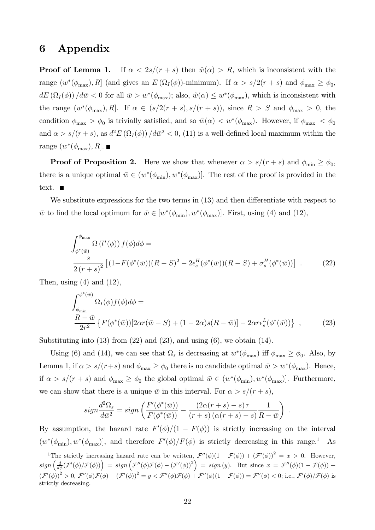# 6 Appendix

**Proof of Lemma 1.** If  $\alpha < 2s/(r + s)$  then  $\hat{w}(\alpha) > R$ , which is inconsistent with the range  $(w^*(\phi_{\text{max}}), R]$  (and gives an  $E(\Omega_I(\phi))$ -minimum). If  $\alpha > s/2(r + s)$  and  $\phi_{\text{max}} \ge \phi_0$ ,  $dE(\Omega_I(\phi))/d\bar{w} < 0$  for all  $\bar{w} > w^*(\phi_{\text{max}})$ ; also,  $\hat{w}(\alpha) \leq w^*(\phi_{\text{max}})$ , which is inconsistent with the range  $(w^*(\phi_{\text{max}}), R]$ . If  $\alpha \in (s/2(r + s), s/(r + s))$ , since  $R > S$  and  $\phi_{\text{max}} > 0$ , the condition  $\phi_{\text{max}} > \phi_0$  is trivially satisfied, and so  $\hat{w}(\alpha) < w^*(\phi_{\text{max}})$ . However, if  $\phi_{\text{max}} < \phi_0$ and  $\alpha > s/(r + s)$ , as  $d^2 E(\Omega_I(\phi)) / d\bar{w}^2 < 0$ , (11) is a well-defined local maximum within the range  $(w^*(\phi_{\text{max}}), R]$ .

**Proof of Proposition 2.** Here we show that whenever  $\alpha > s/(r + s)$  and  $\phi_{\min} \ge \phi_0$ , there is a unique optimal  $\bar{w} \in (w^*(\phi_{\min}), w^*(\phi_{\max})]$ . The rest of the proof is provided in the text.

We substitute expressions for the two terms in  $(13)$  and then differentiate with respect to  $\bar{w}$  to find the local optimum for  $\bar{w} \in [w^*(\phi_{\min}), w^*(\phi_{\max})]$ . First, using (4) and (12),

$$
\int_{\phi^*(\bar{w})}^{\phi_{\text{max}}} \Omega(l^*(\phi)) f(\phi) d\phi =
$$
\n
$$
\frac{s}{2(r+s)^2} \left[ (1 - F(\phi^*(\bar{w})) (R - S)^2 - 2\epsilon_s^H(\phi^*(\bar{w})) (R - S) + \sigma_s^H(\phi^*(\bar{w})) \right] .
$$
\n(22)

Then, using  $(4)$  and  $(12)$ ,

$$
\int_{\phi_{\min}}^{\phi^*(\bar{w})} \Omega_I(\phi) f(\phi) d\phi =
$$
\n
$$
\frac{R - \bar{w}}{2r^2} \left\{ F(\phi^*(\bar{w})) [2\alpha r(\bar{w} - S) + (1 - 2\alpha)s(R - \bar{w})] - 2\alpha r \epsilon_s^L(\phi^*(\bar{w})) \right\} ,
$$
\n(23)

Substituting into  $(13)$  from  $(22)$  and  $(23)$ , and using  $(6)$ , we obtain  $(14)$ .

Using (6) and (14), we can see that  $\Omega_s$  is decreasing at  $w^*(\phi_{\text{max}})$  iff  $\phi_{\text{max}} \ge \phi_0$ . Also, by Lemma 1, if  $\alpha > s/(r+s)$  and  $\phi_{\text{max}} \ge \phi_0$  there is no candidate optimal  $\bar{w} > w^*(\phi_{\text{max}})$ . Hence, if  $\alpha > s/(r + s)$  and  $\phi_{\text{max}} \ge \phi_0$  the global optimal  $\bar{w} \in (w^*(\phi_{\text{min}}), w^*(\phi_{\text{max}}))$ . Furthermore, we can show that there is a unique  $\bar{w}$  in this interval. For  $\alpha > s/(r + s)$ ,

$$
sign\frac{d^2\Omega_s}{d\bar{w}^2} = sign\left(\frac{F'(\phi^*(\bar{w}))}{F(\phi^*(\bar{w}))} - \frac{(2\alpha(r+s)-s) r}{(r+s)\left(\alpha(r+s)-s\right)}\frac{1}{R-\bar{w}}\right).
$$

By assumption, the hazard rate  $F'(\phi)/(1 - F(\phi))$  is strictly increasing on the interval  $(w^*(\phi_{\min}), w^*(\phi_{\max})],$  and therefore  $F'(\phi)/F(\phi)$  is strictly decreasing in this range.<sup>1</sup> As

<sup>&</sup>lt;sup>1</sup>The strictly increasing hazard rate can be written,  $\mathcal{F}''(\phi)(1 - \mathcal{F}(\phi)) + (\mathcal{F}'(\phi))^2 = x > 0$ . However,  $sign\left(\frac{d}{d\phi}(\mathcal{F}'(\phi)/\mathcal{F}(\phi))\right) = sign\left(\mathcal{F}''(\phi)\mathcal{F}(\phi) - (\mathcal{F}'(\phi))^2\right) = sign(y).$  But since  $x = \mathcal{F}''(\phi)(1 - \mathcal{F}(\phi)) +$  $(\mathcal{F}'(\phi))^2 > 0$ ,  $\mathcal{F}''(\phi)\mathcal{F}(\phi) - (\mathcal{F}'(\phi))^2 = y < \mathcal{F}''(\phi)\mathcal{F}(\phi) + \mathcal{F}''(\phi)(1 - \mathcal{F}(\phi)) = \mathcal{F}''(\phi) < 0$ ; i.e.,  $\mathcal{F}'(\phi)/\mathcal{F}(\phi)$  is strictly decreasing.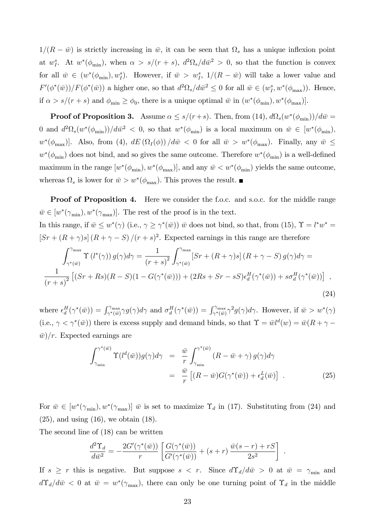$1/(R - \bar{w})$  is strictly increasing in  $\bar{w}$ , it can be seen that  $\Omega_s$  has a unique inflexion point at  $w_I^s$ . At  $w^*(\phi_{\min})$ , when  $\alpha > s/(r+s)$ ,  $d^2\Omega_s/d\bar{w}^2 > 0$ , so that the function is convex for all  $\bar{w} \in (w^*(\phi_{\min}), w_I^s)$ . However, if  $\bar{w} > w_I^s$ ,  $1/(R - \bar{w})$  will take a lower value and  $F'(\phi^*(\bar{w}))/F(\phi^*(\bar{w}))$  a higher one, so that  $d^2\Omega_s/d\bar{w}^2 \leq 0$  for all  $\bar{w} \in (w_I^s, w^*(\phi_{\max}))$ . Hence, if  $\alpha > s/(r + s)$  and  $\phi_{\min} \ge \phi_0$ , there is a unique optimal  $\bar{w}$  in  $(w^*(\phi_{\min}), w^*(\phi_{\max})]$ .

**Proof of Proposition 3.** Assume  $\alpha \leq s/(r+s)$ . Then, from (14),  $d\Omega_s(w^*(\phi_{\min}))/d\bar{w} =$ 0 and  $d^2\Omega_s(w^*(\phi_{\min}))/d\bar{w}^2 < 0$ , so that  $w^*(\phi_{\min})$  is a local maximum on  $\bar{w} \in [w^*(\phi_{\min}),$  $w^*(\phi_{\text{max}})$ . Also, from (4),  $dE(\Omega_I(\phi))/d\bar{w} < 0$  for all  $\bar{w} > w^*(\phi_{\text{max}})$ . Finally, any  $\bar{w} \leq$  $w^*(\phi_{\min})$  does not bind, and so gives the same outcome. Therefore  $w^*(\phi_{\min})$  is a well-defined maximum in the range  $[w^*(\phi_{min}), w^*(\phi_{max})]$ , and any  $\bar{w} < w^*(\phi_{min})$  yields the same outcome, whereas  $\Omega_s$  is lower for  $\bar{w} > w^*(\phi_{\text{max}})$ . This proves the result.

**Proof of Proposition 4.** Here we consider the f.o.c. and s.o.c. for the middle range  $\bar{w} \in [w^*(\gamma_{\min}), w^*(\gamma_{\max})].$  The rest of the proof is in the text. In this range, if  $\bar{w} \leq w^*(\gamma)$  (i.e.,  $\gamma \geq \gamma^*(\bar{w})$ )  $\bar{w}$  does not bind, so that, from (15),  $\hat{\Upsilon} = l^*w^* =$  $\left[Sr + (R + \gamma)s\right](R + \gamma - S)/(r + s)^2$ . Expected earnings in this range are therefore

$$
\int_{\gamma^*(\bar{w})}^{\gamma_{\max}} \Upsilon(l^*(\gamma)) g(\gamma) d\gamma = \frac{1}{(r+s)^2} \int_{\gamma^*(\bar{w})}^{\gamma_{\max}} [Sr + (R+\gamma)s] (R+\gamma-S) g(\gamma) d\gamma = \frac{1}{(r+s)^2} \left[ (Sr + Rs)(R-S)(1 - G(\gamma^*(\bar{w}))) + (2Rs + Sr - sS) \epsilon_d^H(\gamma^*(\bar{w})) + s \sigma_d^H(\gamma^*(\bar{w})) \right],
$$
\n(24)

where  $\epsilon_d^H(\gamma^*(\bar{w})) = \int_{\gamma^*(\bar{w})}^{\gamma_{\text{max}}}\gamma g(\gamma) d\gamma$  and  $\sigma_d^H(\gamma^*(\bar{w})) = \int_{\gamma^*(\bar{w})}^{\gamma_{\text{max}}}\gamma^2 g(\gamma) d\gamma$ . However, if  $\bar{w} > w^*(\gamma)$ (i.e.,  $\gamma < \gamma^*(\bar{w})$ ) there is excess supply and demand binds, so that  $\Upsilon = \bar{w}l^d(w) = \bar{w}(R + \gamma - \gamma)$  $\bar{w}/r$ . Expected earnings are

$$
\int_{\gamma_{\min}}^{\gamma^*(\bar{w})} \Upsilon(l^d(\bar{w})) g(\gamma) d\gamma = \frac{\bar{w}}{r} \int_{\gamma_{\min}}^{\gamma^*(\bar{w})} (R - \bar{w} + \gamma) g(\gamma) d\gamma
$$
  

$$
= \frac{\bar{w}}{r} \left[ (R - \bar{w}) G(\gamma^*(\bar{w})) + \epsilon_d^L(\bar{w}) \right] . \tag{25}
$$

.

For  $\bar{w} \in [w^*(\gamma_{\min}), w^*(\gamma_{\max})]$   $\bar{w}$  is set to maximize  $\Upsilon_d$  in (17). Substituting from (24) and  $(25)$ , and using  $(16)$ , we obtain  $(18)$ .

The second line of (18) can be written

$$
\frac{d^2\Upsilon_d}{d\bar{w}^2} = -\frac{2G'(\gamma^*(\bar{w}))}{r} \left[ \frac{G(\gamma^*(\bar{w}))}{G'(\gamma^*(\bar{w}))} + (s+r) \frac{\bar{w}(s-r) + rS}{2s^2} \right]
$$

If  $s \geq r$  this is negative. But suppose  $s < r$ . Since  $d\Upsilon_d/d\bar{w} > 0$  at  $\bar{w} = \gamma_{\min}$  and  $d\Upsilon_d/d\bar{w}$  < 0 at  $\bar{w} = w^*(\gamma_{\text{max}})$ , there can only be one turning point of  $\Upsilon_d$  in the middle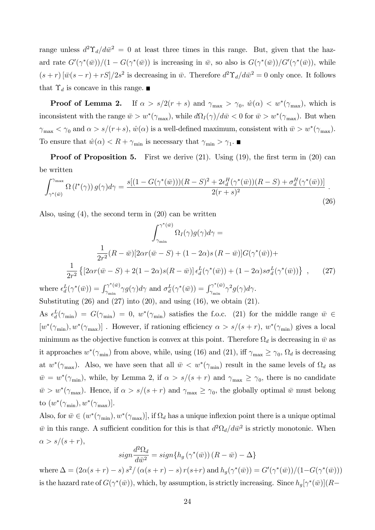range unless  $d^2\Upsilon_d/d\bar{w}^2 = 0$  at least three times in this range. But, given that the hazard rate  $G'(\gamma^*(\bar{w}))/(1-G(\gamma^*(\bar{w}))$  is increasing in  $\bar{w}$ , so also is  $G(\gamma^*(\bar{w}))/G'(\gamma^*(\bar{w}))$ , while  $(s + r) [\bar{w}(s - r) + rS]/2s^2$  is decreasing in  $\bar{w}$ . Therefore  $d^2\Upsilon_d/d\bar{w}^2 = 0$  only once. It follows that  $\Upsilon_d$  is concave in this range.

**Proof of Lemma 2.** If  $\alpha > s/2(r + s)$  and  $\gamma_{\text{max}} > \gamma_0$ ,  $\hat{w}(\alpha) < w^*(\gamma_{\text{max}})$ , which is inconsistent with the range  $\bar{w} > w^*(\gamma_{\max})$ , while  $d\Omega_I(\gamma)/d\bar{w} < 0$  for  $\bar{w} > w^*(\gamma_{\max})$ . But when  $\gamma_{\max} < \gamma_0$  and  $\alpha > s/(r+s)$ ,  $\hat{w}(\alpha)$  is a well-defined maximum, consistent with  $\bar{w} > w^*(\gamma_{\max})$ . To ensure that  $\hat{w}(\alpha) < R + \gamma_{\min}$  is necessary that  $\gamma_{\min} > \gamma_1$ .

**Proof of Proposition 5.** First we derive  $(21)$ . Using  $(19)$ , the first term in  $(20)$  can be written

$$
\int_{\gamma^*(\bar{w})}^{\gamma_{\text{max}}} \Omega\left(l^*(\gamma)\right) g(\gamma) d\gamma = \frac{s\left[(1 - G(\gamma^*(\bar{w})))(R - S)^2 + 2\epsilon_d^H(\gamma^*(\bar{w}))(R - S) + \sigma_d^H(\gamma^*(\bar{w}))\right]}{2(r + s)^2}.
$$
\n(26)

Also, using (4), the second term in (20) can be written

$$
\int_{\gamma_{\min}}^{\gamma^*(\bar{w})} \Omega_I(\gamma) g(\gamma) d\gamma =
$$

$$
\frac{1}{2r^2} (R - \bar{w}) [2\alpha r(\bar{w} - S) + (1 - 2\alpha)s(R - \bar{w})] G(\gamma^*(\bar{w})) +
$$

$$
\frac{1}{2r^2} \left\{ [2\alpha r(\bar{w} - S) + 2(1 - 2\alpha)s(R - \bar{w})] \epsilon_d^L(\gamma^*(\bar{w})) + (1 - 2\alpha)s\sigma_d^L(\gamma^*(\bar{w})) \right\} , \qquad (27)
$$

where  $\epsilon_d^L(\gamma^*(\bar{w})) = \int_{\gamma_{\min}}^{\gamma^*(\bar{w})}$  $\int_{\gamma_{\rm min}}^{\gamma^*(\bar{w})} \gamma g(\gamma) d\gamma \text{ and } \sigma_d^L(\gamma^*(\bar{w})) = \int_{\gamma_{\rm min}}^{\gamma^*(\bar{w})}$  $\frac{\gamma^{\ast}(w)}{\gamma_{\min}}\gamma^{2}g(\gamma)d\gamma.$ Substituting  $(26)$  and  $(27)$  into  $(20)$ , and using  $(16)$ , we obtain  $(21)$ .

As  $\epsilon_d^L(\gamma_{\min}) = G(\gamma_{\min}) = 0$ ,  $w^*(\gamma_{\min})$  satisfies the f.o.c. (21) for the middle range  $\bar{w} \in$  $[w^*(\gamma_{\min}), w^*(\gamma_{\max})]$ . However, if rationing efficiency  $\alpha > s/(s+r)$ ,  $w^*(\gamma_{\min})$  gives a local minimum as the objective function is convex at this point. Therefore  $\Omega_d$  is decreasing in  $\bar{w}$  as it approaches  $w^*(\gamma_{\min})$  from above, while, using (16) and (21), iff  $\gamma_{\max} \ge \gamma_0$ ,  $\Omega_d$  is decreasing at  $w^*(\gamma_{\max})$ . Also, we have seen that all  $\bar{w} < w^*(\gamma_{\min})$  result in the same levels of  $\Omega_d$  as  $\bar{w} = w^*(\gamma_{\min})$ , while, by Lemma 2, if  $\alpha > s/(s+r)$  and  $\gamma_{\max} \ge \gamma_0$ , there is no candidate  $\bar{w} > w^*(\gamma_{\max})$ . Hence, if  $\alpha > s/(s+r)$  and  $\gamma_{\max} \geq \gamma_0$ , the globally optimal  $\bar{w}$  must belong to  $(w^*(\gamma_{\min}), w^*(\gamma_{\max})]$ .

Also, for  $\bar{w} \in (w^*(\gamma_{\min}), w^*(\gamma_{\max})]$ , if  $\Omega_d$  has a unique inflexion point there is a unique optimal  $\bar{w}$  in this range. A sufficient condition for this is that  $d^2\Omega_d/d\bar{w}^2$  is strictly monotonic. When  $\alpha > s/(s + r),$ 

$$
sign\frac{d^2\Omega_d}{d\bar{w}^2} = sign\{h_g\left(\gamma^*(\bar{w})\right)(R - \bar{w}) - \Delta\}
$$

where  $\Delta = (2\alpha(s+r) - s) s^2 / (\alpha(s+r) - s) r(s+r)$  and  $h_g(\gamma^*(\bar{w})) = G'(\gamma^*(\bar{w})) / (1 - G(\gamma^*(\bar{w})))$ is the hazard rate of  $G(\gamma^*(\bar{w}))$ , which, by assumption, is strictly increasing. Since  $h_g[\gamma^*(\bar{w})](R-$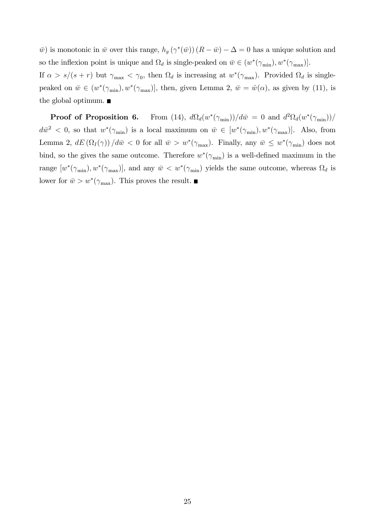$\bar{w}$ ) is monotonic in  $\bar{w}$  over this range,  $h_g(\gamma^*(\bar{w}))$   $(R - \bar{w}) - \Delta = 0$  has a unique solution and so the inflexion point is unique and  $\Omega_d$  is single-peaked on  $\bar{w} \in (w^*(\gamma_{\min}), w^*(\gamma_{\max})].$ 

If  $\alpha > s/(s+r)$  but  $\gamma_{\text{max}} < \gamma_0$ , then  $\Omega_d$  is increasing at  $w^*(\gamma_{\text{max}})$ . Provided  $\Omega_d$  is singlepeaked on  $\bar{w} \in (w^*(\gamma_{\min}), w^*(\gamma_{\max})],$  then, given Lemma 2,  $\bar{w} = \hat{w}(\alpha)$ , as given by (11), is the global optimum.

Proof of Proposition 6.  $\frac{d}{d}(w^*(\gamma_{\min}))/d\bar{w} = 0$  and  $\frac{d^2\Omega_d(w^*(\gamma_{\min}))/d\bar{w}}{d\bar{w}}$  $d\bar{w}^2 < 0$ , so that  $w^*(\gamma_{\min})$  is a local maximum on  $\bar{w} \in [w^*(\gamma_{\min}), w^*(\gamma_{\max})]$ . Also, from Lemma 2,  $dE(\Omega_I(\gamma))/d\bar{w} < 0$  for all  $\bar{w} > w^*(\gamma_{\max})$ . Finally, any  $\bar{w} \leq w^*(\gamma_{\min})$  does not bind, so the gives the same outcome. Therefore  $w^*(\gamma_{\min})$  is a well-defined maximum in the range  $[w^*(\gamma_{\min}), w^*(\gamma_{\max})]$ , and any  $\bar{w} < w^*(\gamma_{\min})$  yields the same outcome, whereas  $\Omega_d$  is lower for  $\bar{w} > w^*(\gamma_{\text{max}})$ . This proves the result.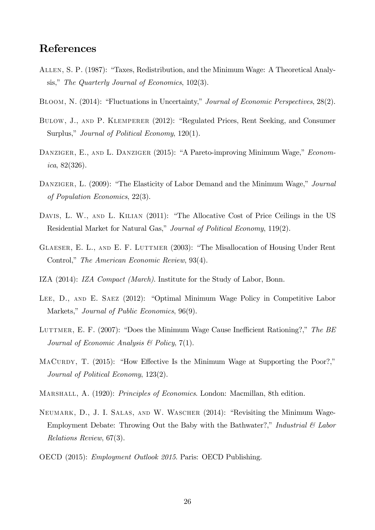### References

- ALLEN, S. P. (1987): "Taxes, Redistribution, and the Minimum Wage: A Theoretical Analysis," The Quarterly Journal of Economics,  $102(3)$ .
- BLOOM, N. (2014): "Fluctuations in Uncertainty," Journal of Economic Perspectives, 28(2).
- BULOW, J., AND P. KLEMPERER (2012): "Regulated Prices, Rent Seeking, and Consumer Surplus," Journal of Political Economy,  $120(1)$ .
- DANZIGER, E., AND L. DANZIGER (2015): "A Pareto-improving Minimum Wage," Economica, 82(326).
- DANZIGER, L. (2009): "The Elasticity of Labor Demand and the Minimum Wage," Journal of Population Economics, 22(3).
- DAVIS, L. W., AND L. KILIAN (2011): "The Allocative Cost of Price Ceilings in the US Residential Market for Natural Gas," Journal of Political Economy, 119(2).
- GLAESER, E. L., AND E. F. LUTTMER (2003): "The Misallocation of Housing Under Rent Control," The American Economic Review, 93(4).
- IZA (2014): IZA Compact (March). Institute for the Study of Labor, Bonn.
- LEE, D., AND E. SAEZ (2012): "Optimal Minimum Wage Policy in Competitive Labor Markets," Journal of Public Economics, 96(9).
- LUTTMER, E. F. (2007): "Does the Minimum Wage Cause Inefficient Rationing?," The BE Journal of Economic Analysis  $\mathcal B$  Policy, 7(1).
- MACURDY, T.  $(2015)$ : "How Effective Is the Minimum Wage at Supporting the Poor?," Journal of Political Economy, 123(2).
- MARSHALL, A. (1920): *Principles of Economics*. London: Macmillan, 8th edition.
- NEUMARK, D., J. I. SALAS, AND W. WASCHER (2014): "Revisiting the Minimum Wage-Employment Debate: Throwing Out the Baby with the Bathwater?," Industrial  $\mathcal C$  Labor Relations Review, 67(3).
- OECD (2015): Employment Outlook 2015. Paris: OECD Publishing.